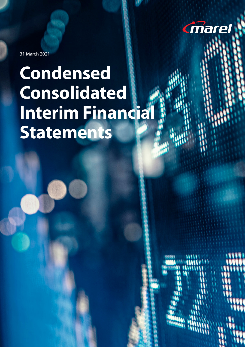

31 March 2021

# **Condensed Consolidated Interim Financia Statements**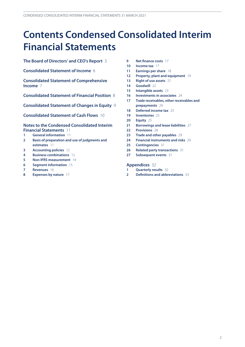# **Contents Condensed Consolidated Interim Financial Statements**

**[The Board of Directors' and CEO's Report](#page-2-0)** 3

**[Consolidated Statement of Income](#page-5-0)** 6

**[Consolidated Statement of Comprehensive](#page-6-0)  [Income](#page-6-0)** 7

**[Consolidated Statement of Financial Position](#page-7-0)** 8

**[Consolidated Statement of Changes in Equity](#page-8-0)** 9

**[Consolidated Statement of Cash Flows](#page-9-0)** 10

#### **[Notes to the Condensed Consolidated Interim](#page-10-0) [Financial Statements](#page-10-0)** 11

- **[General information](#page-10-0)** 11
- **[Basis of preparation and use of judgments and](#page-10-0)  [estimates](#page-10-0)** 11
- **[Accounting policies](#page-11-0)** 12
- **[Business combinations](#page-11-0)** 12
- **[Non-IFRS measurement](#page-13-0)** 14
- **[Segment information](#page-14-0)** 15
- **[Revenues](#page-15-0)** 16
- **[Expenses by nature](#page-16-0)** 17
- **[Net finance costs](#page-16-0)** 17
- **[Income tax](#page-16-0)** 17
- **[Earnings per share](#page-17-0)** 18
- **[Property, plant and equipment](#page-18-0)** 19
- **[Right of use assets](#page-20-0)** 21
- **[Goodwill](#page-21-0)** 22
- **[Intangible assets](#page-22-0)** 23
- **[Investments in associates](#page-23-0)** 24
- **[Trade receivables, other receivables and](#page-23-0) [prepayments](#page-23-0)** 24
- **[Deferred income tax](#page-24-0)** 25
- **[Inventories](#page-24-0)** 25
- **[Equity](#page-24-0)** 25
- **[Borrowings and lease liabilities](#page-26-0)** 27
- **[Provisions](#page-27-0)** 28
- **[Trade and other payables](#page-28-0)** 29
- **[Financial instruments and risks](#page-28-0)** 29
- **[Contingencies](#page-30-0)** 31
- **[Related party transactions](#page-30-0)** 31
- **[Subsequent events](#page-30-0)** 31

#### **[Appendices](#page-31-0)** 32

- **[Quarterly results](#page-31-0)** 32
- **[Definitions and abbreviations](#page-32-0)** 33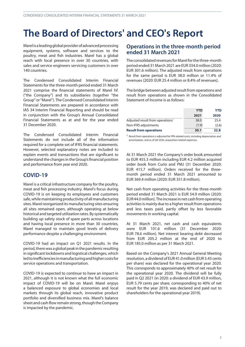# <span id="page-2-0"></span>**The Board of Directors' and CEO's Report**

Marel is a leading global provider of advanced processing equipment, systems, software and services to the poultry, meat and fish industries. Marel has a global reach with local presence in over 30 countries, with sales and service engineers servicing customers in over 140 countries.

The Condensed Consolidated Interim Financial Statements for the three-month period ended 31 March 2021 comprise the financial statements of Marel hf. ("the Company") and its subsidiaries (together "the Group" or"Marel"). TheCondensedConsolidated Interim Financial Statements are prepared in accordance with IAS 34 Interim Financial Reporting and should be read in conjunction with the Group's Annual Consolidated Financial Statements as at and for the year ended 31 December 2020.

The Condensed Consolidated Interim Financial Statements do not include all of the information required for a complete set of IFRS financial statements. However, selected explanatory notes are included to explain events and transactions that are significant to understand the changes in the Group's financial position and performance from year end 2020.

#### **COVID-19**

Marel is a critical infrastructure company for the poultry, meat and fish processing industry. Marel's focus during COVID-19 is on keeping its employees and customers safe, while maintaining productivity of all manufacturing sites. Marel reorganized its manufacturing sites ensuring all sites remained open, although operating at below historical and targeted utilization rates. By systematically building up safety stock of spare parts across locations and having local presence in more than 30 countries, Marel managed to maintain good levels of delivery performance despite a challenging environment.

COVID-19 had an impact on Q1 2021 results. In the period,therewas aglobalpeak inthepandemic resulting in significant lockdowns and logistical challenges, which ledtoinefficienciesinmanufacturingandhigher costsfor service operations and transportation.

COVID-19 is expected to continue to have an impact in 2021, although it is not known what the full economic impact of COVID-19 will be on Marel. Marel enjoys a balanced exposure to global economies and local markets through its global reach, innovative product portfolio and diversified business mix. Marel's balance sheet and cash flow remain strong, though the Company is impacted by the pandemic.

#### **Operations in the three-month period ended 31 March 2021**

The consolidated revenues for Marel for the three-month period ended 31 March 2021 are EUR 334.0 million (2020: EUR 301.6 million). The adjusted result from operations for the same period is EUR 38.0 million or 11.4% of revenues (2020: EUR 25.4 million or 8.4% of revenues).

The bridge between adjusted result from operations and result from operations as shown in the Consolidated Statement of Income is as follows:

|                                              | <b>YTD</b> | YTD   |
|----------------------------------------------|------------|-------|
|                                              | 2021       | 2020  |
| Adjusted result from operations <sup>1</sup> | 38.0       | 25.4  |
| Non-IFRS adjustments                         | (7.9)      | (2.6) |
| <b>Result from operations</b>                | 30.1       | 22.8  |

1 Result from operations is adjusted for PPA related costs, including depreciation and amortization, and as of Q4 2020, acquisition related expenses.

At 31 March 2021 the Company's order book amounted to EUR 455.3 million including EUR 4.2 million acquired order book from Curio and PMJ (31 December 2020: EUR 415.7 million). Orders received for the threemonth period ended 31 March 2021 amounted to EUR 369.4 million (2020: EUR 351.8 million).

Net cash from operating activities for the three-month period ended 31 March 2021 is EUR 54.9 million (2020: EUR44.0 million). The increase in net cash from operating activities is mainly due to a higher result from operations and less taxes paid, partly offset by less favorable movements in working capital.

At 31 March 2021, net cash and cash equivalents were EUR 101.6 million (31 December 2020: EUR 78.6 million). Net interest bearing debt decreased from EUR 205.2 million at the end of 2020 to EUR 185.0 million as per 31 March 2021.

Based on the Company's 2021 Annual General Meeting resolution, a dividend of EUR 41.0million (EUR 5.45 cents per share) was declared for the operational year 2020. This corresponds to approximately 40% of net result for the operational year 2020. The dividend will be fully paid in Q2 2021 (in 2020: a dividend of EUR 43.9 million, EUR 5.79 cents per share, corresponding to 40% of net result for the year 2019, was declared and paid out to shareholders for the operational year 2019).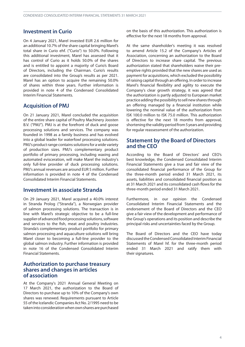#### **Investment in Curio**

On 4 January 2021, Marel invested EUR 2.6 million for an additional 10.7% of the share capital bringing Marel's total share in Curio ehf. ("Curio") to 50.0%. Following this additional investment, Marel has assessed that it has control of Curio as it holds 50.0% of the shares and is entitled to appoint a majority of Curio's Board of Directors, including the Chairman. Curio's results are consolidated into the Group's results as per 2021. Marel has an option to acquire the remaining 50.0% of shares within three years. Further information is provided in note 4 of the Condensed Consolidated Interim Financial Statements.

#### **Acquisition of PMJ**

On 21 January 2021, Marel concluded the acquisition of the entire share capital of Poultry Machinery Joosten B.V. ("PMJ"). PMJ is at the forefront of duck and goose processing solutions and services. The company was founded in 1998 as a family business and has evolved into a global leader for waterfowl processing solutions. PMJ's product range contains solutions for a wide variety of production sizes. PMJ's complementary product portfolio of primary processing, including waxing and automated evisceration, will make Marel the industry's only full-line provider of duck processing solutions. PMJ's annual revenues are around EUR 5 million. Further information is provided in note 4 of the Condensed Consolidated Interim Financial Statements.

#### **Investment in associate Stranda**

On 29 January 2021, Marel acquired a 40.0% interest in Stranda Prolog ("Stranda"), a Norwegian provider of salmon processing solutions. The transaction is in line with Marel's strategic objective to be a full-line supplier of advanced food processing solutions, software and services to the fish, meat and poultry industries. Stranda's complementary product portfolio for primary salmon processing and aquaculture solutions will bring Marel closer to becoming a full-line provider to the global salmon industry. Further information is provided in note 16 of the Condensed Consolidated Interim Financial Statements.

#### **Authorization to purchase treasury shares and changes in articles of association**

At the Company's 2021 Annual General Meeting on 17 March 2021, the authorization to the Board of Directors to purchase up to 10% of the Company's own shares was renewed. Requirements pursuant to Article 55 of the Icelandic Companies Act No. 2/1995 need to be takenintoconsiderationwhenownshares arepurchased

on the basis of this authorization. This authorization is effective for the next 18 months from approval.

At the same shareholder's meeting it was resolved to amend Article 15.2 of the Company's Articles of Association, concerning an authorization to the Board of Directors to increase share capital. The previous authorization stated that shareholders waive their preemptive rights provided that the new shares are used as payment for acquisitions, which excluded the possibility of raising capital through an offering. In order to increase Marel's financial flexibility and agility to execute the Company's clear growth strategy, it was agreed that the authorization is partly adjusted to European market practice adding the possibility to sell new shares through an offering managed by a financial institution while lowering the nominal value of the authorization from ISK 100.0 million to ISK 75.0 million. This authorization is effective for the next 18 months from approval, shortening the validity period from 5 years and providing for regular reassessment of the authorization.

#### **Statement by the Board of Directors and the CEO**

According to the Board of Directors' and CEO's best knowledge, the Condensed Consolidated Interim Financial Statements give a true and fair view of the consolidated financial performance of the Group for the three-month period ended 31 March 2021, its assets, liabilities and consolidated financial position as at 31 March 2021 and its consolidated cash flows for the three-month period ended 31 March 2021.

Furthermore, in our opinion the Condensed Consolidated Interim Financial Statements and the endorsement of the Board of Directors and the CEO give a fair view of the development and performance of the Group's operations and its position and describe the principal risks and uncertainties faced by the Group.

The Board of Directors and the CEO have today discussed the Condensed Consolidated Interim Financial Statements of Marel hf. for the three-month period ended 31 March 2021 and ratify them with their signatures.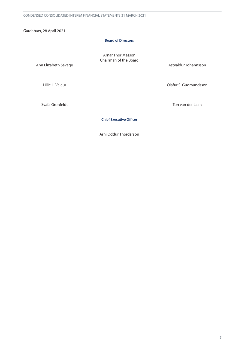Gardabaer, 28 April 2021

#### **Board of Directors**

Arnar Thor Masson Chairman of the Board

Ann Elizabeth Savage

Lillie Li Valeur

Astvaldur Johannsson

Olafur S. Gudmundsson

Svafa Gronfeldt

Ton van der Laan

**Chief Executive Officer**

Arni Oddur Thordarson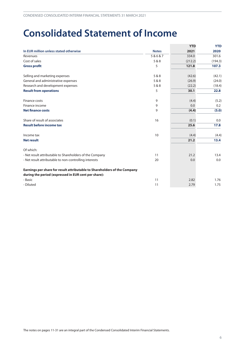### <span id="page-5-0"></span>**Consolidated Statement of Income**

|                                                                           |              | <b>YTD</b> | <b>YTD</b> |
|---------------------------------------------------------------------------|--------------|------------|------------|
| In EUR million unless stated otherwise                                    | <b>Notes</b> | 2021       | 2020       |
| Revenues                                                                  | 5&6&7        | 334.0      | 301.6      |
| Cost of sales                                                             | 5 & 8        | (212.2)    | (194.3)    |
| <b>Gross profit</b>                                                       | 5            | 121.8      | 107.3      |
| Selling and marketing expenses                                            | 5&8          | (42.6)     | (42.1)     |
| General and administrative expenses                                       | 5&8          | (26.9)     | (24.0)     |
| Research and development expenses                                         | 5&8          | (22.2)     | (18.4)     |
| <b>Result from operations</b>                                             | 5            | 30.1       | 22.8       |
| Finance costs                                                             | 9            | (4.4)      | (5.2)      |
| Finance income                                                            | 9            | 0.0        | 0.2        |
| <b>Net finance costs</b>                                                  | 9            | (4.4)      | (5.0)      |
| Share of result of associates                                             | 16           | (0.1)      | 0.0        |
| <b>Result before income tax</b>                                           |              | 25.6       | 17.8       |
| Income tax                                                                | 10           | (4.4)      | (4.4)      |
| <b>Net result</b>                                                         |              | 21.2       | 13.4       |
| Of which:                                                                 |              |            |            |
| - Net result attributable to Shareholders of the Company                  | 11           | 21.2       | 13.4       |
| - Net result attributable to non-controlling interests                    | 20           | 0.0        | 0.0        |
| Earnings per share for result attributable to Shareholders of the Company |              |            |            |
| during the period (expressed in EUR cent per share):                      |              |            |            |
| - Basic                                                                   | 11           | 2.82       | 1.76       |
| - Diluted                                                                 | 11           | 2.79       | 1.75       |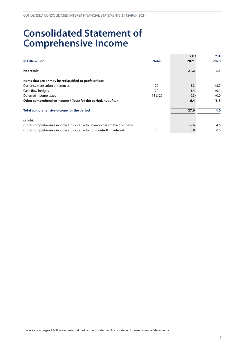### <span id="page-6-0"></span>**Consolidated Statement of Comprehensive Income**

|                                                                          |              | <b>YTD</b> | <b>YTD</b> |
|--------------------------------------------------------------------------|--------------|------------|------------|
| In EUR million                                                           | <b>Notes</b> | 2021       | 2020       |
| Net result                                                               |              | 21.2       | 13.4       |
| Items that are or may be reclassified to profit or loss:                 |              |            |            |
| <b>Currency translation differences</b>                                  | 20           | 5.3        | (8.7)      |
| Cash flow hedges                                                         | 20           | 1.4        | (0.1)      |
| Deferred income taxes                                                    | 18 & 20      | (0.3)      | (0.0)      |
| Other comprehensive income / (loss) for the period, net of tax           |              | 6.4        | (8.8)      |
| Total comprehensive income for the period                                |              | 27.6       | 4.6        |
| Of which:                                                                |              |            |            |
| - Total comprehensive income attributable to Shareholders of the Company |              | 27.6       | 4.6        |
| - Total comprehensive income attributable to non-controlling interests   | 20           | 0.0        | 0.0        |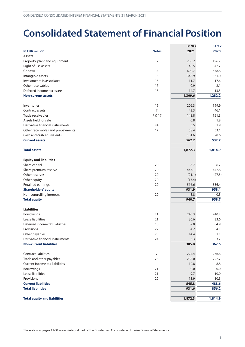### <span id="page-7-0"></span>**Consolidated Statement of Financial Position**

|                                     |                  | 31/03            | 31/12   |
|-------------------------------------|------------------|------------------|---------|
| <b>In EUR million</b>               | <b>Notes</b>     | 2021             | 2020    |
| <b>Assets</b>                       |                  |                  |         |
| Property, plant and equipment       | 12               | 200.2            | 196.7   |
| Right of use assets                 | 13               | 45.5             | 42.7    |
| Goodwill                            | 14               | 690.7            | 678.8   |
| Intangible assets                   | 15               | 345.9            | 331.0   |
| Investments in associates           | 16               | 11.7             | 17.6    |
| Other receivables                   | 17               | 0.9              | 2.1     |
| Deferred income tax assets          | 18               | 14.7             | 13.3    |
| <b>Non-current assets</b>           |                  | 1,309.6          | 1,282.2 |
| Inventories                         | 19               | 206.3            | 199.9   |
| Contract assets                     | $\overline{7}$   | 43.3             | 46.1    |
| Trade receivables                   | 7 & 17           | 148.8            | 151.3   |
| Assets held for sale                |                  | 0.8              | 1.8     |
| Derivative financial instruments    | 24               | 3.5              | 1.9     |
| Other receivables and prepayments   | 17               | 58.4             | 53.1    |
| Cash and cash equivalents           |                  | 101.6            | 78.6    |
| <b>Current assets</b>               |                  | 562.7            | 532.7   |
| <b>Total assets</b>                 |                  | 1,872.3          | 1,814.9 |
| <b>Equity and liabilities</b>       |                  |                  |         |
| Share capital                       | 20               | 6.7              | 6.7     |
| Share premium reserve               | 20               | 443.1            | 442.8   |
| Other reserves                      | 20               | (21.1)           | (27.5)  |
| Other equity                        | 20               | (13.4)           |         |
| Retained earnings                   | 20               | 516.6            | 536.4   |
| <b>Shareholders' equity</b>         |                  | 931.9            | 958.4   |
| Non-controlling interests           | 20               | 8.8              | 0.3     |
| <b>Total equity</b>                 |                  | 940.7            | 958.7   |
| <b>Liabilities</b>                  |                  |                  |         |
| Borrowings                          | 21               | 240.3            | 240.2   |
| Lease liabilities                   | 21               | 36.6             | 33.6    |
| Deferred income tax liabilities     | 18               | 87.0             | 84.9    |
| Provisions                          | 22               | 4.2              | 4.1     |
| Other payables                      | 23               | 14.4             | 1.1     |
| Derivative financial instruments    | 24               | 3.3              | 3.7     |
| <b>Non-current liabilities</b>      |                  | 385.8            | 367.6   |
| Contract liabilities                | $\boldsymbol{7}$ | 224.4            | 236.6   |
| Trade and other payables            | 23               | 285.0            | 222.7   |
| Current income tax liabilities      |                  | 12.8             | 8.8     |
| Borrowings                          | 21               | 0.0              | 0.0     |
| Lease liabilities                   | 21               | 9.7              | 10.0    |
| Provisions                          | 22               | 13.9             | 10.5    |
| <b>Current liabilities</b>          |                  |                  | 488.6   |
| <b>Total liabilities</b>            |                  | 931.6            | 856.2   |
|                                     |                  |                  | 1,814.9 |
| <b>Total equity and liabilities</b> |                  | 545.8<br>1,872.3 |         |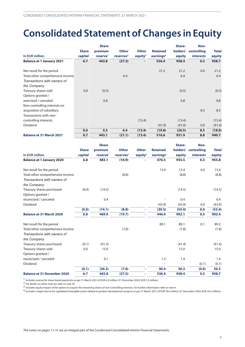### <span id="page-8-0"></span>**Consolidated Statement of Changes in Equity**

|                                  |              | <b>Share</b>         |                       |              |                       | Share- | Non-                 |              |
|----------------------------------|--------------|----------------------|-----------------------|--------------|-----------------------|--------|----------------------|--------------|
|                                  | <b>Share</b> | premium              | <b>Other</b>          | <b>Other</b> | <b>Retained</b>       |        | holders' controlling | <b>Total</b> |
| In EUR million                   | capital      | reserve <sup>1</sup> | reserves <sup>2</sup> | equity $3$   | earnings <sup>4</sup> | equity | <b>interests</b>     | equity       |
| <b>Balance at 1 January 2021</b> | 6.7          | 442.8                | (27.5)                |              | 536.4                 | 958.4  | 0.3                  | 958.7        |
| Net result for the period        |              |                      |                       |              | 21.2                  | 21.2   | 0.0                  | 21.2         |
| Total other comprehensive income |              |                      | 6.4                   |              |                       | 6.4    |                      | 6.4          |
| Transactions with owners of      |              |                      |                       |              |                       |        |                      |              |
| the Company                      |              |                      |                       |              |                       |        |                      |              |
| Treasury shares sold             | 0.0          | (0.5)                |                       |              |                       | (0.5)  |                      | (0.5)        |
| Options granted /                |              |                      |                       |              |                       |        |                      |              |
| exercised / canceled             |              | 0.8                  |                       |              |                       | 0.8    |                      | 0.8          |
| Non-controlling interests on     |              |                      |                       |              |                       |        |                      |              |
| acquisition of subsidiary        |              |                      |                       |              |                       |        | 8.5                  | 8.5          |
| Transactions with non-           |              |                      |                       |              |                       |        |                      |              |
| controlling interests            |              |                      |                       | (13.4)       |                       | (13.4) |                      | (13.4)       |
| Dividend                         |              |                      |                       |              | (41.0)                | (41.0) | 0.0                  | (41.0)       |
|                                  | 0.0          | 0.3                  | 6.4                   | (13.4)       | (19.8)                | (26.5) | 8.5                  | (18.0)       |
| <b>Balance at 31 March 2021</b>  | 6.7          | 443.1                | (21.1)                | (13.4)       | 516.6                 | 931.9  | 8.8                  | 940.7        |

|                                    |              | <b>Share</b>         |                       |              |                       | Share- | Non-                 |              |
|------------------------------------|--------------|----------------------|-----------------------|--------------|-----------------------|--------|----------------------|--------------|
|                                    | <b>Share</b> | premium              | <b>Other</b>          | <b>Other</b> | <b>Retained</b>       |        | holders' controlling | <b>Total</b> |
| In EUR million                     | capital      | reserve <sup>1</sup> | reserves <sup>2</sup> | equity $3$   | earnings <sup>4</sup> | equity | interests            | equity       |
| <b>Balance at 1 January 2020</b>   | 6.8          | 483.1                | (10.9)                |              | 476.5                 | 955.5  | 0.3                  | 955.8        |
| Net result for the period          |              |                      |                       |              | 13.4                  | 13.4   | 0.0                  | 13.4         |
| Total other comprehensive income   |              |                      | (8.8)                 |              |                       | (8.8)  |                      | (8.8)        |
| Transactions with owners of        |              |                      |                       |              |                       |        |                      |              |
| the Company                        |              |                      |                       |              |                       |        |                      |              |
| Treasury shares purchased          | (0.0)        | (14.5)               |                       |              |                       | (14.5) |                      | (14.5)       |
| Options granted /                  |              |                      |                       |              |                       |        |                      |              |
| excercised / canceled              |              | 0.4                  |                       |              |                       | 0.4    |                      | 0.4          |
| Dividend                           |              |                      |                       |              | (43.9)                | (43.9) | 0.0                  | (43.9)       |
|                                    | (0.0)        | (14.1)               | (8.8)                 | ٠            | (30.5)                | (53.4) | 0.0                  | (53.4)       |
| <b>Balance at 31 March 2020</b>    | 6.8          | 469.0                | (19.7)                | ٠            | 446.0                 | 902.1  | 0.3                  | 902.4        |
| Net result for the period          |              |                      |                       |              | 89.1                  | 89.1   | 0.1                  | 89.2         |
| Total other comprehensive income   |              |                      | (7.8)                 |              |                       | (7.8)  |                      | (7.8)        |
| Transactions with owners of        |              |                      |                       |              |                       |        |                      |              |
| the Company                        |              |                      |                       |              |                       |        |                      |              |
| Treasury shares purchased          | (0.1)        | (41.3)               |                       |              |                       | (41.4) |                      | (41.4)       |
| Treasury shares sold               | 0.0          | 15.0                 |                       |              |                       | 15.0   |                      | 15.0         |
| Options granted /                  |              |                      |                       |              |                       |        |                      |              |
| excercised / canceled              |              | 0.1                  |                       |              | 1.3                   | 1.4    |                      | 1.4          |
| Dividend                           |              |                      |                       |              |                       |        | (0.1)                | (0.1)        |
|                                    | (0.1)        | (26.2)               | (7.8)                 |              | 90.4                  | 56.3   | (0.0)                | 56.3         |
| <b>Balance at 31 December 2020</b> | 6.7          | 442.8                | (27.5)                |              | 536.4                 | 958.4  | 0.3                  | 958.7        |

1 Includes reserve for share-based payments as per 31 March 2021 of EUR 6.3 million (31 December 2020: EUR 5.5 million).

2 For details on other reserves refer to note 20.

3 Includes equity impact of the option to acquire the remaining shares of non-controlling interests. For further information refer to note 4.

4 Includes a legal reserve for capitalized intangible assets related to product development projects as per 31 March 2021 of EUR 78.0 million (31 December 2020: EUR 76.5 million).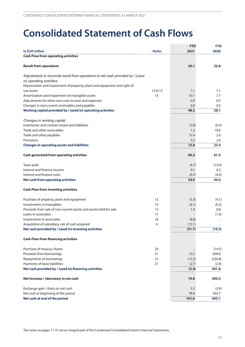## <span id="page-9-0"></span>**Consolidated Statement of Cash Flows**

|                                                                                 |              | <b>YTD</b> | <b>YTD</b> |
|---------------------------------------------------------------------------------|--------------|------------|------------|
| In EUR million                                                                  | <b>Notes</b> | 2021       | 2020       |
| <b>Cash Flow from operating activities</b>                                      |              |            |            |
|                                                                                 |              |            |            |
| <b>Result from operations</b>                                                   |              | 30.1       | 22.8       |
|                                                                                 |              |            |            |
| Adjustments to reconcile result from operations to net cash provided by / (used |              |            |            |
| in) operating activities:                                                       |              |            |            |
| Depreciation and impairment of property, plant and equipment and right of       |              |            |            |
| use assets                                                                      | 12 & 13      | 7.1        | 7.1        |
| Amortization and impairment of intangible assets                                | 15           | 10.1       | 7.7        |
| Adjustments for other non-cash income and expenses                              |              | 0.9        | 0.5        |
| Changes in non-current receivables and payables                                 |              | 0.0        | 0.0        |
| Working capital provided by / (used in) operating activities                    |              | 48.2       | 38.1       |
| Changes in working capital:                                                     |              |            |            |
| Inventories and contract assets and liabilities                                 |              | (7.8)      | (0.4)      |
| Trade and other receivables                                                     |              | 1.2        | 18.6       |
| Trade and other payables                                                        |              | 15.4       | 2.6        |
| Provisions                                                                      |              | 3.2        | 2.6        |
| <b>Changes in operating assets and liabilities</b>                              |              | 12.0       | 23.4       |
|                                                                                 |              |            |            |
| <b>Cash generated from operating activities</b>                                 |              | 60.2       | 61.5       |
| Taxes paid                                                                      |              | (4.7)      | (13.4)     |
| Interest and finance income                                                     |              | 0.1        | 0.3        |
| Interest and finance costs                                                      |              | (0.7)      | (4.4)      |
| <b>Net cash from operating activities</b>                                       |              | 54.9       | 44.0       |
| <b>Cash Flow from investing activities</b>                                      |              |            |            |
|                                                                                 |              |            |            |
| Purchase of property, plant and equipment                                       | 12           | (5.3)      | (4.1)      |
| Investments in intangibles                                                      | 15           | (6.1)      | (6.2)      |
| Proceeds from sale of non-current assets and assets held for sale               | 12           | 1.4        | 0.8        |
| Loans in associates                                                             | 17           |            | (1.0)      |
| Investments in associates                                                       | 16           | (8.6)      |            |
| Acquisition of subsidiary, net of cash acquired                                 | 4            | (13.1)     |            |
| Net cash provided by / (used in) investing activities                           |              | (31.7)     | (10.5)     |
| <b>Cash Flow from financing activities</b>                                      |              |            |            |
|                                                                                 |              |            |            |
| Purchase of treasury shares                                                     | 20           |            | (14.5)     |
| Proceeds from borrowings                                                        | 21           | 12.5       | 600.0      |
| Repayments of borrowings                                                        | 21           | (13.2)     | (220.8)    |
| Payments of lease liabilities                                                   | 21           | (2.7)      | (2.9)      |
| Net cash provided by / (used in) financing activities                           |              | (3.4)      | 361.8      |
| Net increase / (decrease) in net cash                                           |              | 19.8       | 395.3      |
| Exchange gain / (loss) on net cash                                              |              | 3.2        | (3.9)      |
| Net cash at beginning of the period                                             |              | 78.6       | 303.7      |
| Net cash at end of the period                                                   |              | 101.6      | 695.1      |
|                                                                                 |              |            |            |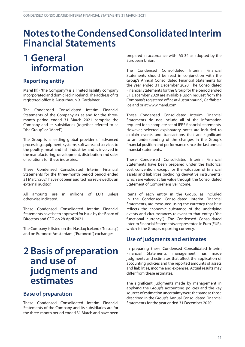### <span id="page-10-0"></span>**Notes totheCondensedConsolidatedInterim Financial Statements**

### **1 General information**

### **Reporting entity**

Marel hf. ("the Company") is a limited liability company incorporated and domiciled in Iceland. The address of its registered office is Austurhraun 9, Gardabaer.

The Condensed Consolidated Interim Financial Statements of the Company as at and for the threemonth period ended 31 March 2021 comprise the Company and its subsidiaries (together referred to as "the Group" or "Marel").

The Group is a leading global provider of advanced processing equipment, systems, software and services to the poultry, meat and fish industries and is involved in the manufacturing, development, distribution and sales of solutions for these industries.

These Condensed Consolidated Interim Financial Statements for the three-month period period ended 31 March 2021 have not been audited nor reviewed by an external auditor.

All amounts are in millions of EUR unless otherwise indicated.

These Condensed Consolidated Interim Financial Statements have been approved for issue by the Board of Directors and CEO on 28 April 2021.

The Company is listed on the Nasdaq Iceland ("Nasdaq") and on Euronext Amsterdam (''Euronext'') exchanges.

### **2 Basis of preparation and use of judgments and estimates**

#### **Base of preparation**

These Condensed Consolidated Interim Financial Statements of the Company and its subsidiaries are for the three-month period ended 31 March and have been

prepared in accordance with IAS 34 as adopted by the European Union.

The Condensed Consolidated Interim Financial Statements should be read in conjunction with the Group's Annual Consolidated Financial Statements for the year ended 31 December 2020. The Consolidated Financial Statements for the Group for the period ended 31 December 2020 are available upon request from the Company'sregistered office at Austurhraun 9,Garðabær, Iceland or at [www.marel.com.](https://www.marel.com)

These Condensed Consolidated Interim Financial Statements do not include all of the information required for a complete set of IFRS financial statements. However, selected explanatory notes are included to explain events and transactions that are significant to an understanding of the changes in the Group's financial position and performance since the last annual financial statements.

These Condensed Consolidated Interim Financial Statements have been prepared under the historical cost convention, except for the valuation of financial assets and liabilities (including derivative instruments) which are valued at fair value through the Consolidated Statement of Comprehensive Income.

Items of each entity in the Group, as included in the Condensed Consolidated Interim Financial Statements, are measured using the currency that best reflects the economic substance of the underlying events and circumstances relevant to that entity ("the functional currency"). The Condensed Consolidated Interim Financial Statements are presented in Euro (EUR), which is the Group's reporting currency.

#### **Use of judgments and estimates**

In preparing these Condensed Consolidated Interim Financial Statements, management has made judgments and estimates that affect the application of accounting policies and the reported amounts of assets and liabilities, income and expenses. Actual results may differ from these estimates.

The significant judgments made by management in applying the Group's accounting policies and the key sources of estimation uncertainty were the same as those described in the Group's Annual Consolidated Financial Statements for the year ended 31 December 2020.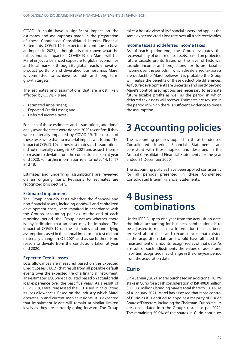<span id="page-11-0"></span>COVID-19 could have a significant impact on the estimates and assumptions made in the preparation of these Condensed Consolidated Interim Financial Statements. COVID-19 is expected to continue to have an impact in 2021, although it is not known what the full economic impact of COVID-19 on Marel will be. Marel enjoys a balanced exposure to global economies and local markets through its global reach, innovative product portfolio and diversified business mix. Marel is committed to achieve its mid- and long term growth targets.

The estimates and assumptions that are most likely affected by COVID-19 are:

- Estimated impairment;
- Expected Credit Losses; and
- Deferred income taxes.

For each of these estimates and assumptions, additional analyses and/or tests were done in 2020 to confirm if they were materially impacted by COVID-19. The results of these tests were that no material impact was found. The impact ofCOVID-19 on these estimates and assumptions did not materially change in Q1 2021 and as such there is no reason to deviate from the conclusions taken at year end 2020. For further information refer to notes 14, 15, 17 and 18.

Estimates and underlying assumptions are reviewed on an ongoing basis. Revisions to estimates are recognized prospectively.

#### **Estimated impairment**

The Group annually tests whether the financial and non-financial assets, including goodwill and capitalized development costs, were impaired in accordance with the Group's accounting policies. At the end of each reporting period, the Group assesses whether there is any indication that an asset may be impaired. The impact of COVID-19 on the estimates and underlying assumptions used in the annual impairment test did not materially change in Q1 2021 and as such, there is no reason to deviate from the conclusions taken at year end 2020.

#### **Expected Credit Losses**

Loss allowances are measured based on the Expected Credit Losses ("ECL") that result from all possible default events over the expected life of a financial instrument. The estimated ECL were calculated based on actual credit loss experience over the past five years. As a result of COVID-19, Marel reassessed the ECL used in calculating its loss allowances. Based on the industry which Marel operates in and current market insights, it is expected that impairment losses will remain at similar limited levels as they are currently going forward. The Group

takes a holistic view of its financial assets and appliesthe same expected credit loss rate over all trade receivables.

#### **Income taxes and deferred income taxes**

As of each period-end, the Group evaluates the recoverability of deferred tax assets, based on projected future taxable profits. Based on the level of historical taxable income and projections for future taxable income over the periods in which the deferred tax assets are deductible, Marel believes it is probable the Group will realize the benefits of these deductible differences. Asfuture developments are uncertain and partly beyond Marel's control, assumptions are necessary to estimate future taxable profits as well as the period in which deferred tax assets will recover. Estimates are revised in the period in which there is sufficient evidence to revise the assumption.

### **3 Accounting policies**

The accounting policies applied in these Condensed Consolidated Interim Financial Statements are consistent with those applied and described in the Annual Consolidated Financial Statements for the year ended 31 December 2020.

The accounting policies have been applied consistently for all periods presented in these Condensed Consolidated Interim Financial Statements.

### **4 Business combinations**

Under IFRS 3, up to one year from the acquisition date, the initial accounting for business combinations is to be adjusted to reflect new information that has been received about facts and circumstances that existed at the acquisition date and would have affected the measurement of amounts recognized as of that date. As a result of such adjustments the values of assets and liabilities recognized may change in the one-year period from the acquisition date.

#### **Curio**

On 4 January 2021, Marel purchased an additional 10.7% stake in Curio for a cash consideration of ISK 408.0 million (EUR 2.6million),bringing Marel'stotalshare to 50.0%.As of 4 January 2021, Marel has assessed that it has control of Curio as it is entitled to appoint a majority of Curio's BoardofDirectors,includingtheChairman.Curio'sresults are consolidated into the Group's results as per 2021. The remaining 50.0% of the shares in Curio continues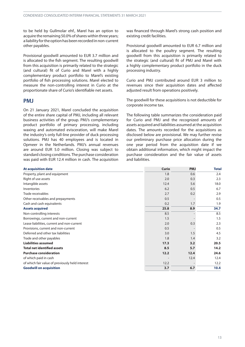to be held by Gullmolar ehf., Marel has an option to acquire the remaining 50.0% of shares within three years; a liability for the option has been recorded in non-current other payables.

Provisional goodwill amounted to EUR 3.7 million and is allocated to the fish segment. The resulting goodwill from this acquisition is primarily related to the strategic (and cultural) fit of Curio and Marel with a highly complementary product portfolio to Marel's existing portfolio of fish processing solutions. Marel elected to measure the non-controlling interest in Curio at the proportionate share of Curio's identifiable net assets.

#### **PMJ**

On 21 January 2021, Marel concluded the acquisition of the entire share capital of PMJ, including all relevant business activities of the group. PMJ's complementary product portfolio of primary processing, including waxing and automated evisceration, will make Marel the industry's only full-line provider of duck processing solutions. PMJ has 40 employees and is located in Opmeer in the Netherlands. PMJ's annual revenues are around EUR 5.0 million. Closing was subject to standard closing conditions. The purchase consideration was paid with EUR 12.4 million in cash. The acquisition was financed through Marel's strong cash position and existing credit facilities.

Provisional goodwill amounted to EUR 6.7 million and is allocated to the poultry segment. The resulting goodwill from this acquisition is primarily related to the strategic (and cultural) fit of PMJ and Marel with a highly complementary product portfolio in the duck processing industry.

Curio and PMJ contributed around EUR 3 million to revenues since their acquisition dates and affected adjusted result from operations positively.

The goodwill for these acquisitions is not deductible for corporate income tax.

The following table summarizes the consideration paid for Curio and PMJ and the recognized amounts of assets acquired and liabilities assumed at the acquisition dates. The amounts recorded for the acquisitions as disclosed below are provisional. We may further revise our preliminary purchase price allocation during the one year period from the acquisition date if we obtain additional information, which might impact the purchase consideration and the fair value of assets and liabilities.

| <b>At acquisition date</b>                      | <b>Curio</b> | <b>PMJ</b> | <b>Total</b> |
|-------------------------------------------------|--------------|------------|--------------|
| Property, plant and equipment                   | 1.8          | 0.6        | 2.4          |
| Right of use assets                             | 2.0          | 0.3        | 2.3          |
| Intangible assets                               | 12.4         | 5.6        | 18.0         |
| Inventories                                     | 6.2          | 0.5        | 6.7          |
| Trade receivables                               | 2.7          | 0.2        | 2.9          |
| Other receivables and prepayments               | 0.5          |            | 0.5          |
| Cash and cash equivalents                       | 0.2          | 1.7        | 1.9          |
| <b>Assets acquired</b>                          | 25.8         | 8.9        | 34.7         |
| Non-controlling interests                       | 8.5          |            | 8.5          |
| Borrowings, current and non-current             | 1.5          |            | 1.5          |
| Lease liabilities, current and non-current      | 2.0          | 0.3        | 2.3          |
| Provisions, current and non-current             | 0.5          |            | 0.5          |
| Deferred and other tax liabilities              | 3.0          | 1.5        | 4.5          |
| Trade and other payables                        | 1.8          | 1.4        | 3.2          |
| <b>Liabilities assumed</b>                      | 17.3         | 3.2        | 20.5         |
| <b>Total net identified assets</b>              | 8.5          | 5.7        | 14.2         |
| <b>Purchase consideration</b>                   | 12.2         | 12.4       | 24.6         |
| of which paid in cash                           |              | 12.4       | 12.4         |
| of which fair value of previously held interest | 12.2         |            | 12.2         |
| <b>Goodwill on acquisition</b>                  | 3.7          | 6.7        | 10.4         |
|                                                 |              |            |              |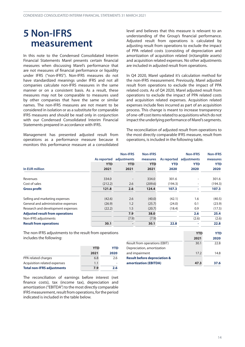### <span id="page-13-0"></span>**5 Non-IFRS measurement**

In this note to the Condensed Consolidated Interim Financial Statements Marel presents certain financial measures when discussing Marel's performance that are not measures of financial performance or liquidity under IFRS ("non-IFRS"). Non-IFRS measures do not have standardized meanings under IFRS and not all companies calculate non-IFRS measures in the same manner or on a consistent basis. As a result, these measures may not be comparable to measures used by other companies that have the same or similar names. The non-IFRS measures are not meant to be considered in isolation or as a substitute for comparable IFRS measures and should be read only in conjunction with our Condensed Consolidated Interim Financial Statements prepared in accordance with IFRS.

Management has presented adjusted result from operations as a performance measure because it monitors this performance measure at a consolidated

level and believes that this measure is relevant to an understanding of the Group's financial performance. Adjusted result from operations is calculated by adjusting result from operations to exclude the impact of PPA related costs (consisting of depreciation and amortization of acquisition related (in)tangible assets) and acquisition related expenses. No other adjustments are included in adjusted result from operations.

In Q4 2020, Marel updated it's calculation method for the non-IFRS measurement. Previously, Marel adjusted result from operations to exclude the impact of PPA related costs. As of Q4 2020, Marel adjusted result from operations to exclude the impact of PPA related costs and acquisition related expenses. Acquisition related expenses include fees incurred as part of an acquisition process. This change is meant to increase transparency of one-off cost items related to acquisitions which do not impact the underlying performance of Marel's segments.

The reconciliation of adjusted result from operations to the most directly comparable IFRS measure, result from operations, is included in the following table.

| In EUR million                         | As reported<br><b>YTD</b><br>2021 | <b>Non-IFRS</b><br>adjustments<br><b>YTD</b><br>2021 | <b>Non-IFRS</b><br>measures<br><b>YTD</b><br>2021 | As reported<br><b>YTD</b><br>2020 | <b>Non-IFRS</b><br>adjustments<br><b>YTD</b><br>2020 | <b>Non-IFRS</b><br>measures<br><b>YTD</b><br>2020 |
|----------------------------------------|-----------------------------------|------------------------------------------------------|---------------------------------------------------|-----------------------------------|------------------------------------------------------|---------------------------------------------------|
| Revenues                               | 334.0                             |                                                      | 334.0                                             | 301.6                             |                                                      | 301.6                                             |
| Cost of sales                          | (212.2)                           | 2.6                                                  | (209.6)                                           | (194.3)                           | -                                                    | (194.3)                                           |
| <b>Gross profit</b>                    | 121.8                             | 2.6                                                  | 124.4                                             | 107.3                             |                                                      | 107.3                                             |
| Selling and marketing expenses         | (42.6)                            | 2.6                                                  | (40.0)                                            | (42.1)                            | 1.6                                                  | (40.5)                                            |
| General and administrative expenses    | (26.9)                            | 1.2                                                  | (25.7)                                            | (24.0)                            | 0.1                                                  | (23.9)                                            |
| Research and development expenses      | (22.2)                            | 1.5                                                  | (20.7)                                            | (18.4)                            | 0.9                                                  | (17.5)                                            |
| <b>Adjusted result from operations</b> |                                   | 7.9                                                  | 38.0                                              |                                   | 2.6                                                  | 25.4                                              |
| Non-IFRS adjustments                   |                                   | (7.9)                                                | (7.9)                                             |                                   | (2.6)                                                | (2.6)                                             |
| <b>Result from operations</b>          | 30.1                              |                                                      | 30.1                                              | 22.8                              |                                                      | 22.8                                              |

The non-IFRS adjustments to the result from operations includes the following:

|                                   | <b>YTD</b> | YTD  |
|-----------------------------------|------------|------|
|                                   | 2021       | 2020 |
| PPA related charges               | 6.8        | 2.6  |
| Acquisition related expenses      | 1.1        |      |
| <b>Total non-IFRS adjustments</b> | 7.9        | 2.6  |

indicated is included in the table below.

The reconciliation of earnings before interest (net finance costs), tax (income tax), depreciation and amortization ("EBITDA") to the most directly comparable IFRS measurement, result from operations, for the period

|                                         | <b>YTD</b> | YTD  |
|-----------------------------------------|------------|------|
|                                         | 2021       | 2020 |
| Result from operations (EBIT)           | 30.1       | 22.8 |
| Depreciation, amortization              |            |      |
| and impairment                          | 17.2       | 14.8 |
| <b>Result before depreciation &amp;</b> |            |      |
| amortization (EBITDA)                   | 47.3       | 37.6 |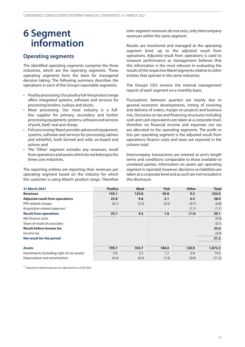### <span id="page-14-0"></span>**6 Segment information**

#### **Operating segments**

The identified operating segments comprise the three industries, which are the reporting segments. These operating segments form the basis for managerial decision taking. The following summary describes the operations in each of the Group's reportable segments:

- Poultry processing: Our poultry full-line product range offers integrated systems, software and services for processing broilers, turkeys and ducks;
- Meat processing: Our meat industry is a fullline supplier for primary, secondary and further processingequipment,systems,softwareandservices of pork, beef, veal and sheep;
- Fish processing: Marel provides advanced equipment, systems, software and services for processing salmon and whitefish, both farmed and wild, on-board and ashore; and
- The 'Other' segment includes any revenues, result from operations and assets which do not belong to the three core industries.

The reporting entities are reporting their revenues per operating segment based on the industry for which the customer is using Marel's product range. Therefore

inter-segment revenues do not exist, only intercompany revenues within the same segment.

Results are monitored and managed at the operating segment level, up to the adjusted result from operations. Adjusted result from operations is used to measure performance as management believes that this information is the most relevant in evaluating the results of the respective Marel segments relative to other entities that operate in the same industries.

The Group's CEO reviews the internal management reports of each segment on a monthly basis.

Fluctuations between quarters are mainly due to general economic developments, timing of receiving and delivery of orders, margin on projects and business mix. Decisions on tax and financing structures including cash and cash equivalents are taken at a corporate level, therefore no financial income and expenses nor tax are allocated to the operating segments. The profit or loss per operating segment is the adjusted result from operations; finance costs and taxes are reported in the column total.

Intercompany transactions are entered at arm's length terms and conditions comparable to those available to unrelated parties. Information on assets per operating segment is reported; however, decisions on liabilities are taken at a corporate level and as such are not included in this disclosure.

| <b>31 March 2021</b>                        | <b>Poultry</b>           | <b>Meat</b>              | <b>Fish</b>       | <b>Other</b> | <b>Total</b> |
|---------------------------------------------|--------------------------|--------------------------|-------------------|--------------|--------------|
| <b>Revenues</b>                             | 159.1                    | 125.8                    | 39.8              | 9.3          | 334.0        |
| <b>Adjusted result from operations</b>      | 25.8                     | 9.8                      | 2.1               | 0.3          | 38.0         |
| PPA related charges                         | (0.1)                    | (5.5)                    | (0.5)             | (0.7)        | (6.8)        |
| Acquisition related expenses <sup>1</sup>   | $\overline{\phantom{a}}$ | $\overline{\phantom{a}}$ | $\qquad \qquad =$ | (1.1)        | (1.1)        |
| <b>Result from operations</b>               | 25.7                     | 4.3                      | 1.6               | (1.5)        | 30.1         |
| Net finance costs                           |                          |                          |                   |              | (4.4)        |
| Share of result of associates               |                          |                          |                   |              | (0.1)        |
| <b>Result before income tax</b>             |                          |                          |                   |              | 25.6         |
| Income tax                                  |                          |                          |                   |              | (4.4)        |
| Net result for the period                   |                          |                          |                   |              | 21.2         |
| <b>Assets</b>                               | 799.7                    | 765.7                    | 186.0             | 120.9        | 1,872.3      |
| Investments (including right of use assets) | 6.9                      | 5.5                      | 1.7               | 0.4          | 14.5         |
| Depreciation and amortization               | (6.4)                    | (8.3)                    | (1.9)             | (0.6)        | (17.2)       |

1 Acquisition related expenses are adjusted for as of Q4 2020.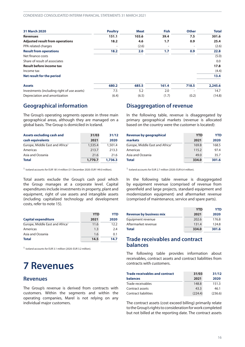<span id="page-15-0"></span>

| <b>31 March 2020</b>                        | <b>Poultry</b> | <b>Meat</b> | <b>Fish</b> | <b>Other</b>             | <b>Total</b> |
|---------------------------------------------|----------------|-------------|-------------|--------------------------|--------------|
| <b>Revenues</b>                             | 151.1          | 103.6       | 39.4        | 7.5                      | 301.6        |
| <b>Adjusted result from operations</b>      | 18.2           | 4.6         | 1,7         | 0.9                      | 25.4         |
| PPA related charges                         |                | (2.6)       |             | $\overline{\phantom{a}}$ | (2.6)        |
| <b>Result from operations</b>               | 18.2           | 2.0         | 1.7         | 0.9                      | 22.8         |
| Net finance costs                           |                |             |             |                          | (5.0)        |
| Share of result of associates               |                |             |             |                          | 0.0          |
| <b>Result before income tax</b>             |                |             |             |                          | 17.8         |
| Income tax                                  |                |             |             |                          | (4.4)        |
| Net result for the period                   |                |             |             |                          | 13.4         |
| <b>Assets</b>                               | 680.2          | 685.5       | 161.4       | 718.5                    | 2,245.6      |
| Investments (including right of use assets) | 7.5            | 5.2         | 2.0         |                          | 14.7         |
| Depreciation and amortization               | (6.4)          | (6.5)       | (1.7)       | (0.2)                    | (14.8)       |

#### **Geographical information**

The Group's operating segments operate in three main geographical areas, although they are managed on a global basis. The Group is domiciled in Iceland.

| <b>Assets excluding cash and</b>            | 31/03   | 31/12   |
|---------------------------------------------|---------|---------|
| cash equivalents                            | 2021    | 2020    |
| Europe, Middle East and Africa <sup>1</sup> | 1,535.4 | 1,501.4 |
| Americas                                    | 213.7   | 213.3   |
| Asia and Oceania                            | 21.6    | 21.6    |
| <b>Total</b>                                | 1,770.7 | 1,736.3 |

1 Iceland accounts for EUR 181.4 million (31 December 2020: EUR 149.0 million).

Total assets exclude the Group's cash pool which the Group manages at a corporate level. Capital expenditures include investments in property, plant and equipment, right of use assets and intangible assets (including capitalized technology and development costs, refer to note [15\)](#page-22-0).

|                                             | <b>YTD</b> | YTD  |
|---------------------------------------------|------------|------|
| <b>Capital expenditure</b>                  | 2021       | 2020 |
| Europe, Middle East and Africa <sup>1</sup> | 11.6       | 12.2 |
| Americas                                    | 1.3        | 2.4  |
| Asia and Oceania                            | 1.6        | 0.1  |
| <b>Total</b>                                | 14.5       | 14.7 |

1 Iceland accounts for EUR 3.1 million (2020: EUR 3.2 million).

## **7 Revenues**

#### **Revenues**

The Group's revenue is derived from contracts with customers. Within the segments and within the operating companies, Marel is not relying on any individual major customers.

#### **Disaggregation of revenue**

In the following table, revenue is disaggregated by primary geographical markets (revenue is allocated based on the country were the customer is located):

| Revenue by geographical                     | <b>YTD</b> | YTD   |
|---------------------------------------------|------------|-------|
| markets                                     | 2021       | 2020  |
| Europe, Middle East and Africa <sup>1</sup> | 169.8      | 168.5 |
| Americas                                    | 115.2      | 97.4  |
| Asia and Oceania                            | 49.0       | 35.7  |
| <b>Total</b>                                | 334.0      | 301.6 |

1 Iceland accounts for EUR 2.7 million (2020: EUR 6.4 million).

In the following table revenue is disaggregated by equipment revenue (comprised of revenue from greenfield and large projects, standard equipment and modernization equipment) and aftermarket revenue (comprised of maintenance, service and spare parts).

|                                | <b>YTD</b> | YTD   |
|--------------------------------|------------|-------|
| <b>Revenue by business mix</b> | 2021       | 2020  |
| Equipment revenue              | 202.6      | 176.8 |
| Aftermarket revenue            | 131.4      | 124.8 |
| <b>Total</b>                   | 334.0      | 301.6 |

#### **Trade receivables and contract balances**

The following table provides information about receivables, contract assets and contract liabilities from contracts with customers.

| <b>Trade receivables and contract</b> | 31/03   | 31/12   |
|---------------------------------------|---------|---------|
| <b>balances</b>                       | 2021    | 2020    |
| Trade receivables                     | 148.8   | 151.3   |
| Contract assets                       | 43.3    | 46.1    |
| <b>Contract liabilities</b>           | (224.4) | (236.6) |

The contract assets (cost exceed billing) primarily relate to the Group's rights to consideration for work completed but not billed at the reporting date. The contract assets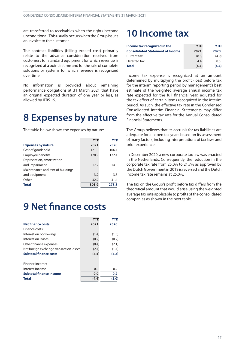<span id="page-16-0"></span>are transferred to receivables when the rights become unconditional. This usually occurs when the Group issues an invoice to the customer.

The contract liabilities (billing exceed cost) primarily relate to the advance consideration received from customers for standard equipment for which revenue is recognized at a point in time and for the sale of complete solutions or systems for which revenue is recognized over time.

No information is provided about remaining performance obligations at 31 March 2021 that have an original expected duration of one year or less, as allowed by IFRS 15.

### **8 Expenses by nature**

The table below shows the expenses by nature:

|                                   | <b>YTD</b> | <b>YTD</b> |
|-----------------------------------|------------|------------|
| <b>Expenses by nature</b>         | 2021       | 2020       |
| Cost of goods sold                | 121.0      | 106.4      |
| <b>Employee benefits</b>          | 128.9      | 122.4      |
| Depreciation, amortization        |            |            |
| and impairment                    | 17.2       | 14.8       |
| Maintenance and rent of buildings |            |            |
| and equipment                     | 3.9        | 3.8        |
| Other                             | 32.9       | 31.4       |
| <b>Total</b>                      | 303.9      | 278.8      |

# **9 Net finance costs**

|                                         | <b>YTD</b> | <b>YTD</b> |
|-----------------------------------------|------------|------------|
| <b>Net finance costs</b>                | 2021       | 2020       |
| Finance costs:                          |            |            |
| Interest on borrowings                  | (1.4)      | (1.5)      |
| Interest on leases                      | (0.2)      | (0.2)      |
| Other finance expenses                  | (0.4)      | (2.1)      |
| Net foreign exchange transaction losses | (2.4)      | (1.4)      |
| <b>Subtotal finance costs</b>           | (4.4)      | (5.2)      |
| Finance income:                         |            |            |
| Interest income                         | 0.0        | 0.2        |
| <b>Subtotal finance income</b>          | 0.0        | 0.2        |
| Total                                   | (4.4)      | (5.0)      |

### **10 Income tax**

| Income tax recognized in the            | <b>YTD</b> | YTD   |
|-----------------------------------------|------------|-------|
| <b>Consolidated Statement of Income</b> | 2021       | 2020  |
| Current tax                             | (8.8)      | (4.9) |
| Deferred tax                            | 4.4        | 0.5   |
| <b>Total</b>                            | (4.4)      | (4.4) |

Income tax expense is recognized at an amount determined by multiplying the profit (loss) before tax for the interim reporting period by management's best estimate of the weighted average annual income tax rate expected for the full financial year, adjusted for the tax effect of certain items recognized in the interim period. As such, the effective tax rate in the Condensed Consolidated Interim Financial Statements may differ from the effective tax rate for the Annual Consolidated Financial Statements.

The Group believes that its accruals for tax liabilities are adequate for all open tax years based on its assessment ofmany factors, including interpretations oftax laws and prior experience.

In December 2020, a new corporate tax law was enacted in the Netherlands. Consequently, the reduction in the corporate tax rate from 25.0% to 21.7% as approved by the Dutch Government in 2019 is reversed and the Dutch income tax rate remains at 25.0%.

The tax on the Group's profit before tax differs from the theoretical amount that would arise using the weighted average tax rate applicable to profits of the consolidated companies as shown in the next table.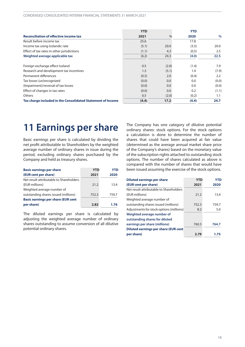<span id="page-17-0"></span>

|                                                             | <b>YTD</b> |               | <b>YTD</b> |               |
|-------------------------------------------------------------|------------|---------------|------------|---------------|
| <b>Reconciliation of effective income tax</b>               | 2021       | $\frac{0}{0}$ | 2020       | $\frac{0}{0}$ |
| Result before income tax                                    | 25.6       |               | 17.8       |               |
| Income tax using Icelandic rate                             | (5.1)      | 20.0          | (3.5)      | 20.0          |
| Effect of tax rates in other jurisdictions                  | (1.1)      | 4.3           | (0.5)      | 2.5           |
| Weighted average applicable tax                             | (6.2)      | 24.3          | (4.0)      | 22.5          |
| Foreign exchange effect Iceland                             | 0.5        | (2.0)         | (1.4)      | 7.9           |
| Research and development tax incentives                     | 1.3        | (5.1)         | 1.4        | (7.9)         |
| Permanent differences                                       | (0.5)      | 2.0           | (0.4)      | 2.2           |
| Tax losses (un)recognized                                   | (0.0)      | 0.0           | 0.0        | (0.0)         |
| (Impairment)/reversal of tax losses                         | (0.0)      | 0.0           | 0.0        | (0.0)         |
| Effect of changes in tax rates                              | (0.0)      | 0.0           | 0.2        | (1.1)         |
| <b>Others</b>                                               | 0.5        | (2.0)         | (0.2)      | 1.1           |
| Tax charge included in the Consolidated Statement of Income | (4.4)      | 17.2          | (4.4)      | 24.7          |

### **11 Earnings per share**

Basic earnings per share is calculated by dividing the net profit attributable to Shareholders by the weighted average number of ordinary shares in issue during the period, excluding ordinary shares purchased by the Company and held as treasury shares.

| <b>Basic earnings per share</b>           | <b>YTD</b> | YTD   |
|-------------------------------------------|------------|-------|
| (EUR cent per share)                      | 2021       | 2020  |
| Net result attributable to Shareholders   |            |       |
| (EUR millions)                            | 21.2       | 13.4  |
| Weighted average number of                |            |       |
| outstanding shares issued (millions)      | 752.3      | 759.7 |
| <b>Basic earnings per share (EUR cent</b> |            |       |
| per share)                                | 2.82       | 1.76  |

The diluted earnings per share is calculated by adjusting the weighted average number of ordinary shares outstanding to assume conversion of all dilutive potential ordinary shares.

The Company has one category of dilutive potential ordinary shares: stock options. For the stock options a calculation is done to determine the number of shares that could have been acquired at fair value (determined as the average annual market share price of the Company's shares) based on the monetary value of the subscription rights attached to outstanding stock options. The number of shares calculated as above is compared with the number of shares that would have been issued assuming the exercise of the stock options.

| <b>Diluted earnings per share</b>            | <b>YTD</b> | <b>YTD</b> |
|----------------------------------------------|------------|------------|
| (EUR cent per share)                         | 2021       | 2020       |
| Net result attributable to Shareholders      |            |            |
| (EUR millions)                               | 21.2       | 13.4       |
| Weighted average number of                   |            |            |
| outstanding shares issued (millions)         | 752.3      | 759.7      |
| Adjustments for stock options (millions)     | 8.2        | 5.0        |
| Weighted average number of                   |            |            |
| outstanding shares for diluted               |            |            |
| earnings per share (millions)                | 760.5      | 764.7      |
| <b>Diluted earnings per share (EUR cent)</b> |            |            |
| per share)                                   | 2.79       | 1.75       |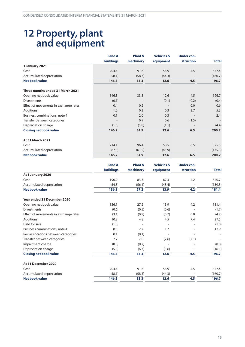### <span id="page-18-0"></span>**12 Property, plant and equipment**

|                                       | Land &           | Plant &   | <b>Vehicles &amp;</b> | <b>Under con-</b> |              |
|---------------------------------------|------------------|-----------|-----------------------|-------------------|--------------|
|                                       | <b>buildings</b> | machinery | equipment             | struction         | <b>Total</b> |
| 1 January 2021                        |                  |           |                       |                   |              |
| Cost                                  | 204.4            | 91.6      | 56.9                  | 4.5               | 357.4        |
| Accumulated depreciation              | (58.1)           | (58.3)    | (44.3)                |                   | (160.7)      |
| <b>Net book value</b>                 | 146.3            | 33.3      | 12.6                  | 4.5               | 196.7        |
| Three months ended 31 March 2021      |                  |           |                       |                   |              |
| Opening net book value                | 146.3            | 33.3      | 12.6                  | 4.5               | 196.7        |
| <b>Divestments</b>                    | (0.1)            |           | (0.1)                 | (0.2)             | (0.4)        |
| Effect of movements in exchange rates | 0.4              | 0.2       |                       | 0.0               | 0.6          |
| <b>Additions</b>                      | 1.0              | 0.3       | 0.3                   | 3.7               | 5.3          |
| Business combinations, note 4         | 0.1              | 2.0       | 0.3                   |                   | 2.4          |
| Transfer between categories           |                  | 0.9       | 0.6                   | (1.5)             |              |
| Depreciation charge                   | (1.5)            | (1.8)     | (1.1)                 |                   | (4.4)        |
| <b>Closing net book value</b>         | 146.2            | 34.9      | 12.6                  | 6.5               | 200.2        |
| At 31 March 2021                      |                  |           |                       |                   |              |
| Cost                                  | 214.1            | 96.4      | 58.5                  | 6.5               | 375.5        |
| Accumulated depreciation              | (67.9)           | (61.5)    | (45.9)                |                   | (175.3)      |
| <b>Net book value</b>                 | 146.2            | 34.9      | 12.6                  | 6.5               | 200.2        |

|                                       | Land &           | Plant &   | <b>Vehicles &amp;</b> | <b>Under con-</b> |              |
|---------------------------------------|------------------|-----------|-----------------------|-------------------|--------------|
|                                       | <b>buildings</b> | machinery | equipment             | struction         | <b>Total</b> |
| At 1 January 2020                     |                  |           |                       |                   |              |
| Cost                                  | 190.9            | 83.3      | 62.3                  | 4.2               | 340.7        |
| Accumulated depreciation              | (54.8)           | (56.1)    | (48.4)                |                   | (159.3)      |
| <b>Net book value</b>                 | 136.1            | 27.2      | 13.9                  | 4.2               | 181.4        |
| Year ended 31 December 2020           |                  |           |                       |                   |              |
| Opening net book value                | 136.1            | 27.2      | 13.9                  | 4.2               | 181.4        |
| <b>Divestments</b>                    | (0.6)            | (0.5)     | (0.6)                 |                   | (1.7)        |
| Effect of movements in exchange rates | (3.1)            | (0.9)     | (0.7)                 | 0.0               | (4.7)        |
| <b>Additions</b>                      | 10.8             | 4.8       | 4.5                   | 7.4               | 27.5         |
| Held for sale                         | (1.8)            |           |                       |                   | (1.8)        |
| Business combinations, note 4         | 8.5              | 2.7       | 1.7                   |                   | 12.9         |
| Reclassifications between categories  | 0.1              | (0.1)     |                       |                   |              |
| Transfer between categories           | 2.7              | 7.0       | (2.6)                 | (7.1)             |              |
| Impairment charge                     | (0.6)            | (0.2)     |                       |                   | (0.8)        |
| Depreciation charge                   | (5.8)            | (6.7)     | (3.6)                 |                   | (16.1)       |
| <b>Closing net book value</b>         | 146.3            | 33.3      | 12.6                  | 4.5               | 196.7        |
| At 31 December 2020                   |                  |           |                       |                   |              |
| Cost                                  | 204.4            | 91.6      | 56.9                  | 4.5               | 357.4        |
| Accumulated depreciation              | (58.1)           | (58.3)    | (44.3)                |                   | (160.7)      |
| <b>Net book value</b>                 | 146.3            | 33.3      | 12.6                  | 4.5               | 196.7        |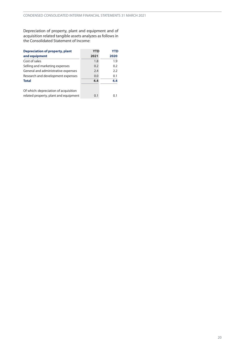Depreciation of property, plant and equipment and of acquisition related tangible assets analyzes as follows in the Consolidated Statement of Income:

| <b>Depreciation of property, plant</b> | <b>YTD</b> | <b>YTD</b> |
|----------------------------------------|------------|------------|
| and equipment                          | 2021       | 2020       |
| Cost of sales                          | 1.8        | 1.9        |
| Selling and marketing expenses         | 0.2        | 0.2        |
| General and administrative expenses    | 2.4        | 2.2        |
| Research and development expenses      | 0.0        | 0.1        |
| <b>Total</b>                           | 4.4        | 4.4        |
| Of which: depreciation of acquisition  |            |            |
| related property, plant and equipment  | 0.1        | 0.1        |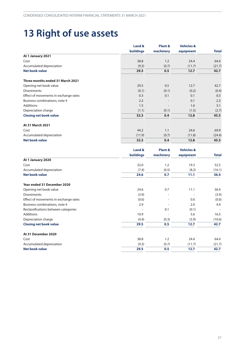# <span id="page-20-0"></span>**13 Right of use assets**

|                                       | Land &           | <b>Vehicles &amp;</b><br>Plant & |           |              |
|---------------------------------------|------------------|----------------------------------|-----------|--------------|
|                                       | <b>buildings</b> | machinery                        | equipment | <b>Total</b> |
| At 1 January 2021                     |                  |                                  |           |              |
| Cost                                  | 38.8             | 1.2                              | 24.4      | 64.4         |
| Accumulated depreciation              | (9.3)            | (0.7)                            | (11.7)    | (21.7)       |
| Net book value                        | 29.5             | 0.5                              | 12.7      | 42.7         |
| Three months ended 31 March 2021      |                  |                                  |           |              |
| Opening net book value                | 29.5             | 0.5                              | 12.7      | 42.7         |
| <b>Divestments</b>                    | (0.1)            | (0.1)                            | (0.2)     | (0.4)        |
| Effect of movements in exchange rates | 0.3              | 0.1                              | 0.1       | 0.5          |
| Business combinations, note 4         | 2.2              |                                  | 0.1       | 2.3          |
| <b>Additions</b>                      | 1.5              |                                  | 1.6       | 3.1          |
| Depreciation charge                   | (1.1)            | (0.1)                            | (1.5)     | (2.7)        |
| <b>Closing net book value</b>         | 32.3             | 0.4                              | 12.8      | 45.5         |
| At 31 March 2021                      |                  |                                  |           |              |
| Cost                                  | 44.2             | 1.1                              | 24.6      | 69.9         |
| Accumulated depreciation              | (11.9)           | (0.7)                            | (11.8)    | (24.4)       |
| <b>Net book value</b>                 | 32.3             | 0.4                              | 12.8      | 45.5         |

|                                       | Land &<br><b>buildings</b> | Plant &                  | <b>Vehicles &amp;</b><br>equipment | <b>Total</b> |
|---------------------------------------|----------------------------|--------------------------|------------------------------------|--------------|
|                                       |                            | machinery                |                                    |              |
| At 1 January 2020                     |                            |                          |                                    |              |
| Cost                                  | 32.0                       | 1.2                      | 19.3                               | 52.5         |
| Accumulated depreciation              | (7.4)                      | (0.5)                    | (8.2)                              | (16.1)       |
| <b>Net book value</b>                 | 24.6                       | 0.7                      | 11.1                               | 36.4         |
| Year ended 31 December 2020           |                            |                          |                                    |              |
| Opening net book value                | 24.6                       | 0.7                      | 11.1                               | 36.4         |
| <b>Divestments</b>                    | (3.9)                      | $\overline{\phantom{a}}$ |                                    | (3.9)        |
| Effect of movements in exchange rates | (0.6)                      |                          | 0.0                                | (0.6)        |
| Business combinations, note 4         | 2.9                        |                          | 2.0                                | 4.9          |
| Reclassifications between categories  |                            | 0.1                      | (0.1)                              | ٠            |
| <b>Additions</b>                      | 10.9                       |                          | 5.6                                | 16.5         |
| Depreciation charge                   | (4.4)                      | (0.3)                    | (5.9)                              | (10.6)       |
| <b>Closing net book value</b>         | 29.5                       | 0.5                      | 12.7                               | 42.7         |
| At 31 December 2020                   |                            |                          |                                    |              |
| Cost                                  | 38.8                       | 1.2                      | 24.4                               | 64.4         |
| Accumulated depreciation              | (9.3)                      | (0.7)                    | (11.7)                             | (21.7)       |
| <b>Net book value</b>                 | 29.5                       | 0.5                      | 12.7                               | 42.7         |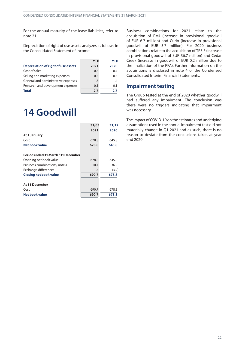<span id="page-21-0"></span>For the annual maturity of the lease liabilities, refer to note [21](#page-26-0).

Depreciation of right of use assets analyzes as follows in the Consolidated Statement of Income:

|                                            | <b>YTD</b> | YTD  |
|--------------------------------------------|------------|------|
| <b>Depreciation of right of use assets</b> | 2021       | 2020 |
| Cost of sales                              | 0.8        | 0.7  |
| Selling and marketing expenses             | 0.5        | 0.5  |
| General and administrative expenses        | 1.3        | 1.4  |
| Research and development expenses          | 0.1        | 0.1  |
| <b>Total</b>                               | 2.7        | 2.7  |

### **14 Goodwill**

|                                     | 31/03 | 31/12 |
|-------------------------------------|-------|-------|
|                                     | 2021  | 2020  |
| At 1 January                        |       |       |
| Cost                                | 678.8 | 645.8 |
| Net book value                      | 678.8 | 645.8 |
| Period ended 31 March / 31 December |       |       |
| Opening net book value              | 678.8 | 645.8 |
| Business combinations, note 4       | 10.4  | 36.9  |
| Exchange differences                | 1.5   | (3.9) |
| <b>Closing net book value</b>       | 690.7 | 678.8 |
| At 31 December                      |       |       |
| Cost                                | 690.7 | 678.8 |
| Net book value                      | 690.7 | 678.8 |

Business combinations for 2021 relate to the acquisition of PMJ (increase in provisional goodwill of EUR 6.7 million) and Curio (increase in provisional goodwill of EUR 3.7 million). For 2020 business combinations relate to the acquisition of TREIF (increase in provisional goodwill of EUR 36.7 million) and Cedar Creek (increase in goodwill of EUR 0.2 million due to the finalization of the PPA). Further information on the acquisitions is disclosed in note [4](#page-11-0) of the Condensed Consolidated Interim Financial Statements.

#### **Impairment testing**

The Group tested at the end of 2020 whether goodwill had suffered any impairment. The conclusion was there were no triggers indicating that impairment was necessary.

The impact of COVID-19 on the estimates and underlying assumptions used in the annual impairment test did not materially change in Q1 2021 and as such, there is no reason to deviate from the conclusions taken at year end 2020.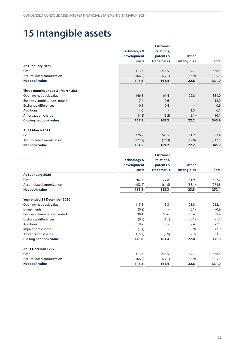# <span id="page-22-0"></span>**15 Intangible assets**

|                                  |                         | <b>Customer</b> |                    |              |
|----------------------------------|-------------------------|-----------------|--------------------|--------------|
|                                  | <b>Technology &amp;</b> | relations,      | <b>Other</b>       |              |
|                                  | development             | patents &       |                    |              |
|                                  | costs                   | trademarks      | <b>intangibles</b> | <b>Total</b> |
| At 1 January 2021                |                         |                 |                    |              |
| Cost                             | 313.3                   | 233.5           | 89.7               | 636.5        |
| Accumulated amortization         | (166.5)                 | (72.1)          | (66.9)             | (305.5)      |
| <b>Net book value</b>            | 146.8                   | 161.4           | 22.8               | 331.0        |
| Three months ended 31 March 2021 |                         |                 |                    |              |
| Opening net book value           | 146.8                   | 161.4           | 22.8               | 331.0        |
| Business combinations, note 4    | 7.4                     | 10.6            |                    | 18.0         |
| Exchange differences             | 0.5                     | 0.4             |                    | 0.9          |
| <b>Additions</b>                 | 4.6                     |                 | 1.5                | 6.1          |
| Amortization charge              | (4.8)                   | (3.2)           | (2.1)              | (10.1)       |
| <b>Closing net book value</b>    | 154.5                   | 169.2           | 22.2               | 345.9        |
| At 31 March 2021                 |                         |                 |                    |              |
| Cost                             | 326.7                   | 245.5           | 91.2               | 663.4        |
| Accumulated amortization         | (172.2)                 | (76.3)          | (69.0)             | (317.5)      |
| <b>Net book value</b>            | 154.5                   | 169.2           | 22.2               | 345.9        |

|                               |                         | <b>Customer</b> |              |              |
|-------------------------------|-------------------------|-----------------|--------------|--------------|
|                               | <b>Technology &amp;</b> | relations,      |              |              |
|                               | development             | patents &       | <b>Other</b> |              |
|                               | costs                   | trademarks      | intangibles  | <b>Total</b> |
| At 1 January 2020             |                         |                 |              |              |
| Cost                          | 267.5                   | 177.8           | 81.9         | 527.2        |
| Accumulated amortization      | (152.2)                 | (64.5)          | (58.1)       | (274.8)      |
| <b>Net book value</b>         | 115.3                   | 113.3           | 23.8         | 252.4        |
| Year ended 31 December 2020   |                         |                 |              |              |
| Opening net book value        | 115.3                   | 113.3           | 23.8         | 252.4        |
| <b>Divestments</b>            | (0.8)                   |                 | (0.1)        | (0.9)        |
| Business combinations, note 4 | 30.4                    | 58.6            | 0.4          | 89.4         |
| Exchange differences          | (0.5)                   | (1.1)           | (0.1)        | (1.7)        |
| <b>Additions</b>              | 19.2                    | 0.5             | 7.4          | 27.1         |
| Impairment charge             | (1.1)                   |                 | (0.9)        | (2.0)        |
| Amortization charge           | (15.7)                  | (9.9)           | (7.7)        | (33.3)       |
| <b>Closing net book value</b> | 146.8                   | 161.4           | 22.8         | 331.0        |
| At 31 December 2020           |                         |                 |              |              |
| Cost                          | 313.3                   | 233.5           | 89.7         | 636.5        |
| Accumulated amortization      | (166.5)                 | (72.1)          | (66.9)       | (305.5)      |
| <b>Net book value</b>         | 146.8                   | 161.4           | 22.8         | 331.0        |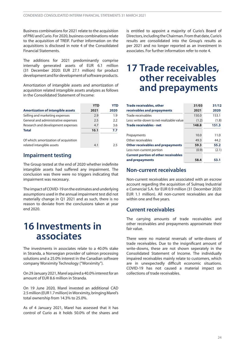<span id="page-23-0"></span>Business combinations for 2021 relate to the acquisition of PMJ and Curio. For 2020, business combinationsrelate to the acquisition of TREIF. Further information on the acquisitions is disclosed in note [4](#page-11-0) of the Consolidated Financial Statements.

The additions for 2021 predominantly comprise internally generated assets of EUR 6.1 million (31 December 2020: EUR 27.1 million) for product development and for development of software products.

Amortization of intangible assets and amortization of acquisition related intangible assets analyzes as follows in the Consolidated Statement of Income:

|                                          | <b>YTD</b> | <b>YTD</b> |
|------------------------------------------|------------|------------|
| <b>Amortization of intangible assets</b> | 2021       | 2020       |
| Selling and marketing expenses           | 2.9        | 1.9        |
| General and administrative expenses      | 2.5        | 2.2        |
| Research and development expenses        | 4.7        | 3.6        |
| <b>Total</b>                             | 10.1       | 7.7        |
| Of which: amortization of acquisition    |            |            |
| related intangible assets                | 4.1        | 2.5        |

### **Impairment testing**

The Group tested at the end of 2020 whether indefinite intangible assets had suffered any impairment. The conclusion was there were no triggers indicating that impairment was necessary.

The impact of COVID-19 on the estimates and underlying assumptions used in the annual impairment test did not materially change in Q1 2021 and as such, there is no reason to deviate from the conclusions taken at year end 2020.

### **16 Investments in associates**

The investments in associates relate to a 40.0% stake in Stranda, a Norwegian provider of salmon processing solutions and a 25.0% interest in the Canadian software company Worximity Technology ("Worximity").

On29 January 2021, Marel aquireda 40.0%interestfor an amount of EUR 8.6 million in Stranda.

On 19 June 2020, Marel invested an additional CAD 2.5 million (EUR1.7 million) in Worximity, bringing Marel's total ownership from 14.3% to 25.0%.

As of 4 January 2021, Marel has assessed that it has control of Curio as it holds 50.0% of the shares and

is entitled to appoint a majority of Curio's Board of Directors, including the Chairman. From that date, Curio's results are consolidated into the Group's results as per 2021 and no longer reported as an investment in associates. For further information refer to note 4.

### **17 Trade receivables, other receivables and prepayments**

| <b>Trade receivables, other</b>             | 31/03 | 31/12 |
|---------------------------------------------|-------|-------|
| receivables and prepayments                 | 2021  | 2020  |
| Trade receivables                           | 150.0 | 153.1 |
| Less: write-down to net-realizable value    | (1.2) | (1.8) |
| <b>Trade receivables - net</b>              | 148.8 | 151.3 |
|                                             |       |       |
| Prepayments                                 | 10.0  | 11.0  |
| Other receivables                           | 49.3  | 44.2  |
| <b>Other receivables and prepayments</b>    | 59.3  | 55.2  |
| Less non-current portion                    | (0.9) | (2.1) |
| <b>Current portion of other receivables</b> |       |       |
| and prepayments                             | 58.4  | 53.1  |

#### **Non-current receivables**

Non-current receivables are associated with an escrow account regarding the acquisition of Sulmaq Industrial e Comercial S.A. for EUR 0.9 million (31 December 2020: EUR 1.1 million). All non-current receivables are due within one and five years.

#### **Current receivables**

The carrying amounts of trade receivables and other receivables and prepayments approximate their fair value.

There were no material reversals of write-downs of trade receivables. Due to the insignificant amount of write-downs, these are not shown seperately in the Consolidated Statement of Income. The individually impaired receivables mainly relate to customers, which are in unexpectedly difficult economic situations. COVID-19 has not caused a material impact on collections of trade receivables.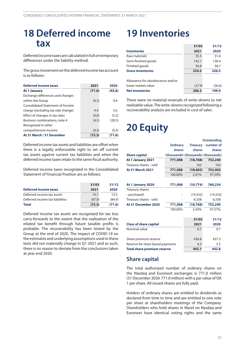### <span id="page-24-0"></span>**18 Deferred income tax**

Deferredincometaxes arecalculatedinfullontemporary differences under the liability method.

The gross movement on the deferred income tax account is as follows:

| <b>Deferred income taxes</b>            | 2021   | 2020   |
|-----------------------------------------|--------|--------|
| At 1 January                            | (71.6) | (43.6) |
| Exchange differences and changes        |        |        |
| within the Group                        | (0.3)  | 0.4    |
| <b>Consolidated Statement of Income</b> |        |        |
| charge (excluding tax rate change)      | 4.4    | 5.6    |
| Effect of changes in tax rates          | (0.0)  | (5.2)  |
| Business combinations, note 4           | (4.5)  | (28.5) |
| Recognized in other                     |        |        |
| comprehensive income                    | (0.3)  | (0.3)  |
| At 31 March / 31 December               | (72.3) | (71.6) |

Deferred income tax assets and liabilities are offset when there is a legally enforceable right to set off current tax assets against current tax liabilities and when the deferred income taxes relate to the same fiscal authority.

Deferred income taxes recognized in the Consolidated Statement of Financial Position are as follows:

|                                 | 31/03  | 31/12  |
|---------------------------------|--------|--------|
| <b>Deferred income taxes</b>    | 2021   | 2020   |
| Deferred income tax assets      | 14.7   | 13.3   |
| Deferred income tax liabilities | (87.0) | (84.9) |
| <b>Total</b>                    | (72.3) | (71.6) |

Deferred income tax assets are recognized for tax loss carry-forwards to the extent that the realization of the related tax benefit through future taxable profits is probable. The recoverability has been tested by the Group at the end of 2020. The impact of COVID-19 on the estimates and underlying assumptions used in these tests did not materially change in Q1 2021 and as such, there is no reason to deviate from the conclusions taken at year end 2020.

# **19 Inventories**

|                                   | 31/03  | 31/12  |
|-----------------------------------|--------|--------|
| <b>Inventories</b>                | 2021   | 2020   |
| Raw materials                     | 35.3   | 31.4   |
| Semi-finished goods               | 142.1  | 136.4  |
| Finished goods                    | 56.8   | 58.7   |
| <b>Gross inventories</b>          | 234.2  | 226.5  |
| Allowance for obsolescence and/or |        |        |
| lower market value                | (27.9) | (26.6) |
| <b>Net inventories</b>            | 206.3  | 199.9  |

There were no material reversals of write-downs to net realizable value. The write-downs recognized following a recoverability analysis are included in cost of sales.

# **20 Equity**

| <b>Ordinary</b><br>shares<br>(thousands) (thousands) (thousands)<br><b>Share capital</b><br>At 1 January 2021<br>771,008 | <b>Treasury</b><br>shares<br>(18, 768) | number of<br>shares |
|--------------------------------------------------------------------------------------------------------------------------|----------------------------------------|---------------------|
|                                                                                                                          |                                        |                     |
|                                                                                                                          |                                        |                     |
|                                                                                                                          |                                        |                     |
|                                                                                                                          |                                        | 752,240             |
| Treasury shares - sold                                                                                                   | 163                                    | 163                 |
| <b>At 31 March 2021</b><br>771,008                                                                                       | (18, 605)                              | 752,403             |
| 100.00%                                                                                                                  | 2.41%                                  | 97.59%              |
| At 1 January 2020<br>771,008                                                                                             | (10, 774)                              | 760,234             |
| Treasury shares                                                                                                          |                                        |                     |
| - purchased                                                                                                              | (14, 332)                              | (14, 332)           |
| Treasury shares - sold                                                                                                   | 6,338                                  | 6,338               |
| At 31 December 2020<br>771,008                                                                                           | (18, 768)                              | 752,240             |
| 100.00%                                                                                                                  | 2.43%                                  | 97.57%              |
|                                                                                                                          | 31/03                                  | 31/12               |
| <b>Class of share capital</b>                                                                                            | 2021                                   | 2020                |
| Nominal value                                                                                                            | 6.7                                    | 6.7                 |
| Share premium reserve                                                                                                    | 436.8                                  | 437.3               |
| Reserve for share based payments                                                                                         | 6.3                                    | 5.5                 |
| <b>Total share premium reserve</b>                                                                                       | 443.1                                  | 442.8               |

#### **Share capital**

The total authorized number of ordinary shares on the Nasdaq and Euronext exchanges is 771.0 million (31 December 2020: 771.0million) with a par value of ISK 1 per share. All issued shares are fully paid.

Holders of ordinary shares are entitled to dividends as declared from time to time and are entitled to one vote per share at shareholders meetings of the Company. Shareholders who hold shares in Marel on Nasdaq and Euronext have identical voting rights and the same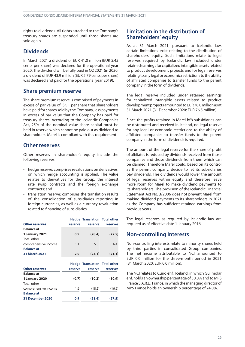rights to dividends. All rights attached to the Company's treasury shares are suspended until those shares are sold again.

#### **Dividends**

In March 2021 a dividend of EUR 41.0 million (EUR 5.45 cents per share) was declared for the operational year 2020. The dividend will be fully paid in Q2 2021 (in 2020, a dividend of EUR 43.9 million (EUR 5.79 cents per share) was declared and paid for the operational year 2019).

#### **Share premium reserve**

The share premium reserve is comprised of payments in excess of par value of ISK 1 per share that shareholders have paid for shares sold by the Company, less payments in excess of par value that the Company has paid for treasury shares. According to the Icelandic Companies Act, 25% of the nominal value share capital must be held in reserve which cannot be paid out as dividend to shareholders. Marel is compliant with this requirement.

#### **Other reserves**

Other reserves in shareholder's equity include the following reserves:

- hedge reserve: comprises revaluations on derivatives, on which hedge accounting is applied. The value relates to derivatives for the Group, the interest rate swap contracts and the foreign exchange contracts; and
- translation reserve: comprises the translation results of the consolidation of subsidiaries reporting in foreign currencies, as well as a currency revaluation related to financing of subsidiaries.

|                       |         | <b>Hedge Translation Total other</b> |          |
|-----------------------|---------|--------------------------------------|----------|
| <b>Other reserves</b> | reserve | reserve                              | reserves |
| <b>Balance at</b>     |         |                                      |          |
| 1 January 2021        | 0.9     | (28.4)                               | (27.5)   |
| <b>Total other</b>    |         |                                      |          |
| comprehensive income  | 1.1     | 5.3                                  | 6.4      |
| <b>Balance at</b>     |         |                                      |          |
| 31 March 2021         | 2.0     | (23.1)                               | (21.1)   |
|                       |         | <b>Hedge Translation Total other</b> |          |
| <b>Other reserves</b> | reserve | reserve                              | reserves |
| <b>Balance at</b>     |         |                                      |          |
| 1 January 2020        | (0.7)   | (10.2)                               | (10.9)   |
| <b>Total other</b>    |         |                                      |          |
| comprehensive income  | 1.6     | (18.2)                               | (16.6)   |
| <b>Balance at</b>     |         |                                      |          |
| 31 December 2020      | 0.9     | (28.4)                               | (27.5)   |

#### **Limitation in the distribution of Shareholders' equity**

As at 31 March 2021, pursuant to Icelandic law, certain limitations exist relating to the distribution of shareholders' equity. Such limitations relate to legal reserves required by Icelandic law included under retained earnings for capitalized intangible assets related to product development projects and for legal reserves relating to any legal or economic restrictions to the ability of affiliated companies to transfer funds to the parent company in the form of dividends.

The legal reserve included under retained earnings for capitalized intangible assets related to product development projects amounted to EUR78.0 million as at 31 March 2021 (31 December 2020: EUR 76.5 million).

Since the profits retained in Marel hf.'s subsidiaries can be distributed and received in Iceland, no legal reserve for any legal or economic restrictions to the ability of affiliated companies to transfer funds to the parent company in the form of dividends is required.

The amount of the legal reserve for the share of profit of affiliates is reduced by dividends received from those companies and those dividends from them which can be claimed. Therefore Marel could, based on its control as the parent company, decide to let its subsidiaries pay dividends. The dividends would lower the amount of legal reserves within equity and therefore leave more room for Marel to make dividend payments to its shareholders. The provision of the Icelandic Financial Statement Act No. 3/2006 does not prevent Marel from making dividend payments to its shareholders in 2021 as the Company has sufficient retained earnings from previous years.

The legal reserves as required by Icelandic law are required as of effective date 1 January 2016.

#### **Non-controlling Interests**

Non-controlling interests relate to minority shares held by third parties in consolidated Group companies. The net income attributable to NCI amounted to EUR 0.0 million for the three-month period in 2021 (31 March 2020: EUR 0.0 million).

The NCI relates to Curio ehf., Iceland, in which Gullmolar ehf. holds an ownership percentage of 50.0%and to MPS France S.A.R.L., France, inwhich themanaging director of MPS France holds an ownership percentage of 24.0%.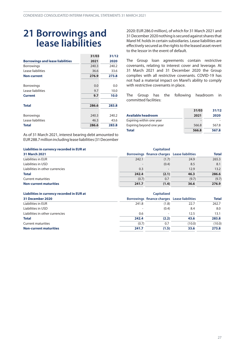### <span id="page-26-0"></span>**21 Borrowings and lease liabilities**

|                                         | 31/03 | 31/12 |
|-----------------------------------------|-------|-------|
| <b>Borrowings and lease liabilities</b> | 2021  | 2020  |
| <b>Borrowings</b>                       | 240.3 | 240.2 |
| Lease liabilities                       | 36.6  | 33.6  |
| <b>Non-current</b>                      | 276.9 | 273.8 |
| <b>Borrowings</b>                       | 0.0   | 0.0   |
| Lease liabilities                       | 9.7   | 10.0  |
| <b>Current</b>                          | 9.7   | 10.0  |
| <b>Total</b>                            | 286.6 | 283.8 |
| <b>Borrowings</b>                       | 240.3 | 240.2 |
| Lease liabilities                       | 46.3  | 43.6  |
| Total                                   | 286.6 | 283.8 |

As of 31 March 2021, interest bearing debt amounted to EUR288.7millionincludinglease liabilities(31December 2020: EUR 286.0million), of which for 31 March 2021 and 31 December 2020 nothing is secured against shares that Marel hf. holdsin certain subsidiaries. Lease liabilities are effectively secured as the rights to the leased asset revert to the lessor in the event of default.

The Group loan agreements contain restrictive covenants, relating to interest cover and leverage. At 31 March 2021 and 31 December 2020 the Group complies with all restrictive covenants. COVID-19 has not had a material impact on Marel's ability to comply with restrictive covenants in place.

The Group has the following headroom in committed facilities:

|                           | 31/03 | 31/12 |
|---------------------------|-------|-------|
| <b>Available headroom</b> | 2021  | 2020  |
| Expiring within one year  |       |       |
| Expiring beyond one year  | 566.8 | 567.8 |
| <b>Total</b>              | 566.8 | 567.8 |

| Liabilities in currency recorded in EUR at<br><b>Capitalized</b> |       |                                              |       |              |
|------------------------------------------------------------------|-------|----------------------------------------------|-------|--------------|
| 31 March 2021                                                    |       | Borrowings finance charges Lease liabilities |       | <b>Total</b> |
| Liabilities in EUR                                               | 242.1 | (1.7)                                        | 24.9  | 265.3        |
| Liabilities in USD                                               |       | (0.4)                                        | 8.5   | 8.1          |
| Liabilities in other currencies                                  | 0.3   | $\overline{\phantom{0}}$                     | 12.9  | 13.2         |
| <b>Total</b>                                                     | 242.4 | (2.1)                                        | 46.3  | 286.6        |
| Current maturities                                               | (0.7) | 0.7                                          | (9.7) | (9.7)        |
| <b>Non-current maturities</b>                                    | 241.7 | (1.4)                                        | 36.6  | 276.9        |

| Liabilities in currency recorded in EUR at |       |                                              |        |              |
|--------------------------------------------|-------|----------------------------------------------|--------|--------------|
| 31 December 2020                           |       | Borrowings finance charges Lease liabilities |        | <b>Total</b> |
| Liabilities in EUR                         | 241.8 | (1.8)                                        | 22.7   | 262.7        |
| Liabilities in USD                         |       | (0.4)                                        | 8.4    | 8.0          |
| Liabilities in other currencies            | 0.6   | ۰                                            | 12.5   | 13.1         |
| <b>Total</b>                               | 242.4 | (2.2)                                        | 43.6   | 283.8        |
| <b>Current maturities</b>                  | (0.7) | 0.7                                          | (10.0) | (10.0)       |
| <b>Non-current maturities</b>              | 241.7 | (1.5)                                        | 33.6   | 273.8        |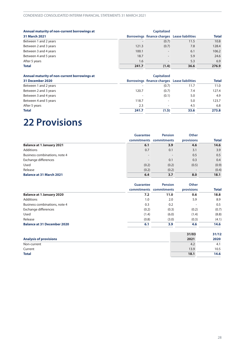<span id="page-27-0"></span>

| Annual maturity of non-current borrowings at |       | <b>Capitalized</b>                           |      |              |
|----------------------------------------------|-------|----------------------------------------------|------|--------------|
| 31 March 2021                                |       | Borrowings finance charges Lease liabilities |      | <b>Total</b> |
| Between 1 and 2 years                        |       | (0.7)                                        | 11.5 | 10.8         |
| Between 2 and 3 years                        | 121.3 | (0.7)                                        | 7.8  | 128.4        |
| Between 3 and 4 years                        | 100.1 |                                              | 6.1  | 106.2        |
| Between 4 and 5 years                        | 18.7  | $\overline{\phantom{a}}$                     | 5.9  | 24.6         |
| After 5 years                                | 1.6   | $\overline{\phantom{a}}$                     | 5.3  | 6.9          |
| <b>Total</b>                                 | 241.7 | (1.4)                                        | 36.6 | 276.9        |

| Annual maturity of non-current borrowings at |       | <b>Capitalized</b>                           |      |              |
|----------------------------------------------|-------|----------------------------------------------|------|--------------|
| 31 December 2020                             |       | Borrowings finance charges Lease liabilities |      | <b>Total</b> |
| Between 1 and 2 years                        |       | (0.7)                                        | 11.7 | 11.0         |
| Between 2 and 3 years                        | 120.7 | (0.7)                                        | 7.4  | 127.4        |
| Between 3 and 4 years                        |       | (0.1)                                        | 5.0  | 4.9          |
| Between 4 and 5 years                        | 118.7 | -                                            | 5.0  | 123.7        |
| After 5 years                                | 2.3   |                                              | 4.5  | 6.8          |
| <b>Total</b>                                 | 241.7 | (1.5)                                        | 33.6 | 273.8        |

# **22 Provisions**

|                                  | <b>Guarantee</b> | <b>Pension</b>           | <b>Other</b>             | <b>Total</b> |
|----------------------------------|------------------|--------------------------|--------------------------|--------------|
|                                  | commitments      | commitments              | provisions               |              |
| <b>Balance at 1 January 2021</b> | 6.1              | 3.9                      | 4.6                      | 14.6         |
| Additions                        | 0.7              | 0.1                      | 3.1                      | 3.9          |
| Business combinations, note 4    |                  | $\overline{\phantom{0}}$ | 0.5                      | 0.5          |
| Exchange differences             |                  | 0.1                      | 0.3                      | 0.4          |
| Used                             | (0.2)            | (0.2)                    | (0.5)                    | (0.9)        |
| Release                          | (0.2)            | (0.2)                    | $\overline{\phantom{0}}$ | (0.4)        |
| <b>Balance at 31 March 2021</b>  | 6.4              | 3.7                      | 8.0                      | 18.1         |

|                                    | <b>Guarantee</b><br>commitments commitments | <b>Pension</b> |                          | <b>Other</b> | <b>Total</b> |
|------------------------------------|---------------------------------------------|----------------|--------------------------|--------------|--------------|
|                                    |                                             |                | provisions               |              |              |
| <b>Balance at 1 January 2020</b>   | 7.2                                         | 11.0           | 0.6                      | 18.8         |              |
| <b>Additions</b>                   | 1.0                                         | 2.0            | 5.9                      | 8.9          |              |
| Business combinations, note 4      | 0.3                                         | 0.2            | $\overline{\phantom{a}}$ | 0.5          |              |
| Exchange differences               | (0.2)                                       | (0.3)          | (0.2)                    | (0.7)        |              |
| Used                               | (1.4)                                       | (6.0)          | (1.4)                    | (8.8)        |              |
| Release                            | (0.8)                                       | (3.0)          | (0.3)                    | (4.1)        |              |
| <b>Balance at 31 December 2020</b> | 6.1                                         | 3.9            | 4.6                      | 14.6         |              |

|                               | 31/03 | 31/12 |
|-------------------------------|-------|-------|
| <b>Analysis of provisions</b> | 2021  | 2020  |
| Non-current                   | 4.2   | 4.1   |
| Current                       | 13.9  | 10.5  |
| <b>Total</b>                  | 18.1  | 14.6  |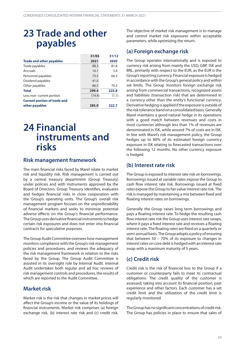### <span id="page-28-0"></span>**23 Trade and other payables**

|                                     | 31/03  | 31/12 |
|-------------------------------------|--------|-------|
| <b>Trade and other payables</b>     | 2021   | 2020  |
| Trade payables                      | 88.3   | 81.8  |
| Accruals                            | 10.1   | 5.4   |
| Personnel payables                  | 73.5   | 66.3  |
| Dividend payables                   | 41.0   |       |
| Other payables                      | 86.5   | 70.3  |
| <b>Total</b>                        | 299.4  | 223.8 |
| Less non-current portion            | (14.4) | (1.1) |
| <b>Current portion of trade and</b> |        |       |
| other payables                      | 285.0  | 222.7 |

### **24 Financial instruments and risks**

#### **Risk management framework**

The main financial risks faced by Marel relate to market risk and liquidity risk. Risk management is carried out by a central treasury department (Group Treasury) under policies and with instruments approved by the Board of Directors. Group Treasury identifies, evaluates and hedges financial risks in close cooperation with the Group's operating units. The Group's overall risk management program focuses on the unpredictability of financial markets and seeks to minimize potential adverse effects on the Group's financial performance. The Group uses derivative financial instruments to hedge certain risk exposures and does not enter into financial contracts for speculative purposes.

The Group Audit Committee oversees how management monitors compliance with the Group's risk management policies and procedures, and reviews the adequacy of the risk management framework in relation to the risks faced by the Group. The Group Audit Committee is assisted in its oversight role by Internal Audit. Internal Audit undertakes both regular and ad hoc reviews of riskmanagement controls and procedures, the results of which are reported to the Audit Committee.

#### **Market risk**

Market risk is the risk that changes in market prices will affect the Group's income or the value of its holdings of financial instruments. Market risk comprises (a) foreign exchange risk, (b) interest rate risk and (c) credit risk.

The objective of market risk management is to manage and control market risk exposures within acceptable parameters, while optimizing the return.

### **(a) Foreign exchange risk**

The Group operates internationally and is exposed to currency risk arising from mainly the USD, GBP, ISK and BRL, primarily with respect to the EUR, as the EUR is the Group's reporting currency. Financial exposure is hedged in accordance with the Group's general policy and within set limits. The Group monitors foreign exchange risk arising from commercial transactions, recognized assets and liabilities (transaction risk) that are determined in a currency other than the entity's functional currency. Derivative hedging is applied if the exposure is outside of the risk tolerance band on a consolidated basis. Generally Marel maintains a good natural hedge in its operations with a good match between revenues and costs in most currencies although less than 1% of revenues are denominated in ISK, while around 7% of costs are in ISK. In line with Marel's risk management policy, the Group hedges up to 80% of its estimated foreign currency exposure in ISK relating to forecasted transactions over the following 12 months. No other currency exposure is hedged.

#### **(b) Interest rate risk**

The Group is exposed to interest rate risk on borrowings. Borrowings issued at variable rates expose the Group to cash flow interest rate risk. Borrowings issued at fixed rates expose the Group to fair value interest rate risk. The risk is managed by maintaining a mix between fixed and floating interest rates on borrowings.

Generally the Group raises long term borrowings and pays a floating interest rate. To hedge the resulting cash flow interest rate risk the Group uses interest rate swaps, where it pays a fixed interest rate and receives a floating interest rate. The floating rates are fixed on a quarterly or semi-annual basis. The Group adopts a policy of ensuring that between 50 – 70% of its exposure to changes in interest rates on core debt is hedged with an interest rate swap with a maximum maturity of 5 years.

### **(c) Credit risk**

Credit risk is the risk of financial loss to the Group if a customer or counterparty fails to meet its contractual obligations. The credit quality of the customer is assessed, taking into account its financial position, past experience and other factors. Each customer has a set credit limit and the utilization of the credit limit is regularly monitored.

The Group has no significant concentrations of credit risk. The Group has policies in place to ensure that sales of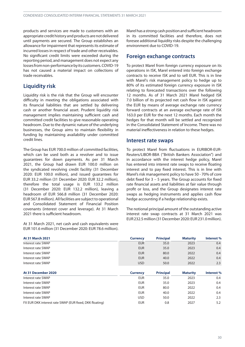products and services are made to customers with an appropriate credit history and products are not delivered until payments are secured. The Group establishes an allowance for impairment that represents its estimate of incurred losses in respect of trade and other receivables. No significant credit limits were exceeded during the reporting period, and management does not expect any lossesfromnon-performancebyits customers.COVID-19 has not caused a material impact on collections of trade receivables.

#### **Liquidity risk**

Liquidity risk is the risk that the Group will encounter difficulty in meeting the obligations associated with its financial liabilities that are settled by delivering cash or another financial asset. Prudent liquidity risk management implies maintaining sufficient cash and committed credit facilities to give reasonable operating headroom. Due to the dynamic nature of the underlying businesses, the Group aims to maintain flexibility in funding by maintaining availability under committed credit lines.

The Group has EUR 700.0 million of committed facilities, which can be used both as a revolver and to issue guarantees for down payments. As per 31 March 2021, the Group had drawn EUR 100.0 million on the syndicated revolving credit facility (31 December 2020: EUR 100.0 million), and issued guarantees for EUR 33.2 million (31 December 2020: EUR 32.2 million), therefore the total usage is EUR 133.2 million (31 December 2020: EUR 132.2 million), leaving a headroom of EUR 566.8 million (31 December 2020: EUR 567.8 million). All facilities are subject to operational and Consolidated Statement of Financial Position covenants (interest cover and leverage). At 31 March 2021 there is sufficient headroom.

At 31 March 2021, net cash and cash equivalents were EUR 101.6 million (31 December 2020: EUR 78.6 million).

Marel has a strong cash position and sufficient headroom in its committed facilities and therefore, does not foresee additional liquidity risks despite the challenging environment due to COVID-19.

#### **Foreign exchange contracts**

To protect Marel from foreign currency exposure on its operations in ISK, Marel entered into foreign exchange contracts to receive ISK and to sell EUR. This is in line with Marel's risk management policy to hedge up to 80% of its estimated foreign currency exposure in ISK relating to forecasted transactions over the following 12 months. As of 31 March 2021 Marel hedged ISK 7.0 billion of its projected net cash flow in ISK against the EUR by means of average exchange rate currency forward contracts at an average exchange rate of ISK 163.0 per EUR for the next 12 months. Each month the hedges for that month will be settled and recognized in the Consolidated Statement of Income. There was no material ineffectiveness in relation to these hedges.

#### **Interest rate swaps**

To protect Marel from fluctuations in EURIBOR-EUR-Reuters/LIBOR-BBA (''British Bankers Association'') and in accordance with the interest hedge policy, Marel has entered into interest rate swaps to receive floating interest and to pay fixed interest. This is in line with Marel's risk management policy to have 50 - 70% of core debt fixed for 3 – 5 years. The Group accounts for fixed rate financial assets and liabilities at fair value through profit or loss, and the Group designates interest rate swaps as hedging instruments and applies cash flow hedge accounting if a hedge relationship exists.

The notional principal amount of the outstanding active interest rate swap contracts at 31 March 2021 was EUR232.5million(31December 2020: EUR231.0million).

| <b>At 31 March 2021</b>                                 | <b>Currency</b> | <b>Principal</b> | <b>Maturity</b> | Interest% |
|---------------------------------------------------------|-----------------|------------------|-----------------|-----------|
| Interest rate SWAP                                      | <b>EUR</b>      | 35.0             | 2023            | 0.4       |
| Interest rate SWAP                                      | <b>EUR</b>      | 35.0             | 2023            | 0.4       |
| Interest rate SWAP                                      | <b>EUR</b>      | 80.0             | 2022            | 0.4       |
| Interest rate SWAP                                      | <b>EUR</b>      | 40.0             | 2022            | 0.4       |
| Interest rate SWAP                                      | <b>USD</b>      | 50.0             | 2022            | 2.3       |
| At 31 December 2020                                     | <b>Currency</b> | <b>Principal</b> | <b>Maturity</b> | Interest% |
| Interest rate SWAP                                      | <b>EUR</b>      | 35.0             | 2023            | 0.4       |
| Interest rate SWAP                                      | <b>EUR</b>      | 35.0             | 2023            | 0.4       |
| Interest rate SWAP                                      | <b>EUR</b>      | 80.0             | 2022            | 0.4       |
| Interest rate SWAP                                      | <b>EUR</b>      | 40.0             | 2022            | 0.4       |
| Interest rate SWAP                                      | <b>USD</b>      | 50.0             | 2022            | 2.3       |
| FX EUR DKK interest rate SWAP (EUR fixed, DKK floating) | <b>EUR</b>      | 0.8              | 2027            | 5.2       |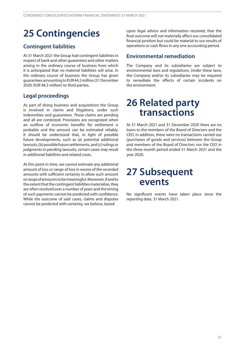# <span id="page-30-0"></span>**25 Contingencies**

### **Contingent liabilities**

At 31 March 2021 the Group had contingent liabilities in respect of bank and other guarantees and other matters arising in the ordinary course of business from which it is anticipated that no material liabilities will arise. In the ordinary course of business the Group has given guarantees amounting to EUR 44.2 million (31 December 2020: EUR 48.3 million) to third parties.

### **Legal proceedings**

As part of doing business and acquisitions the Group is involved in claims and litigations, under such indemnities and guarantees. These claims are pending and all are contested. Provisions are recognized when an outflow of economic benefits for settlement is probable and the amount can be estimated reliably. It should be understood that, in light of possible future developments, such as (a) potential additional lawsuits, (b) possible future settlements, and (c) rulings or judgments in pending lawsuits, certain cases may result in additional liabilities and related costs.

At this point in time, we cannot estimate any additional amount of loss or range of loss in excess of the recorded amounts with sufficient certainty to allow such amount orrangeofamountstobemeaningful.Moreover,ifandto the extent that the contingent liabilities materialize, they are often resolved over a number of years and the timing of such payments cannot be predicted with confidence. While the outcome of said cases, claims and disputes cannot be predicted with certainty, we believe, based

upon legal advice and information received, that the final outcome will not materially affect our consolidated financial position but could be material to our results of operations or cash flows in any one accounting period.

### **Environmental remediation**

The Company and its subsidiaries are subject to environmental laws and regulations. Under these laws, the Company and/or its subsidiaries may be required to remediate the effects of certain incidents on the environment.

### **26 Related party transactions**

At 31 March 2021 and 31 December 2020 there are no loans to the members of the Board of Directors and the CEO. In addition, there were no transactions carried out (purchases of goods and services) between the Group and members of the Board of Directors nor the CEO in the three-month period ended 31 March 2021 and the year 2020.

### **27 Subsequent events**

No significant events have taken place since the reporting date, 31 March 2021.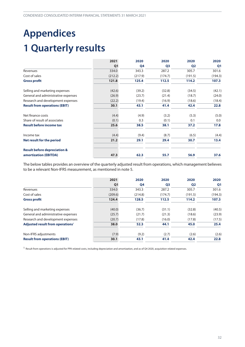# <span id="page-31-0"></span>**Appendices 1 Quarterly results**

|                                         | 2021    | 2020<br>Q <sub>1</sub><br>Q4 | 2020           | 2020<br>Q <sub>2</sub> | 2020<br>Q <sub>1</sub> |
|-----------------------------------------|---------|------------------------------|----------------|------------------------|------------------------|
|                                         |         |                              | Q <sub>3</sub> |                        |                        |
| Revenues                                | 334.0   | 343.3                        | 287.2          | 305.7                  | 301.6                  |
| Cost of sales                           | (212.2) | (217.9)                      | (174.7)        | (191.5)                | (194.3)                |
| <b>Gross profit</b>                     | 121.8   | 125.4                        | 112.5          | 114.2                  | 107.3                  |
| Selling and marketing expenses          | (42.6)  | (39.2)                       | (32.8)         | (34.5)                 | (42.1)                 |
| General and administrative expenses     | (26.9)  | (23.7)                       | (21.4)         | (18.7)                 | (24.0)                 |
| Research and development expenses       | (22.2)  | (19.4)                       | (16.9)         | (18.6)                 | (18.4)                 |
| <b>Result from operations (EBIT)</b>    | 30.1    | 43.1                         | 41.4           | 42.4                   | 22.8                   |
| Net finance costs                       | (4.4)   | (4.9)                        | (3.2)          | (5.3)                  | (5.0)                  |
| Share of result of associates           | (0.1)   | 0.3                          | (0.1)          | 0.1                    | 0.0                    |
| <b>Result before income tax</b>         | 25.6    | 38.5                         | 38.1           | 37.2                   | 17.8                   |
| Income tax                              | (4.4)   | (9.4)                        | (8.7)          | (6.5)                  | (4.4)                  |
| Net result for the period               | 21.2    | 29.1                         | 29.4           | 30.7                   | 13.4                   |
| <b>Result before depreciation &amp;</b> |         |                              |                |                        |                        |
| amortization (EBITDA)                   | 47.3    | 62.3                         | 55.7           | 56.9                   | 37.6                   |

The below tables provides an overview of the quarterly adjusted result from operations, which management believes to be a relevant Non-IFRS measurement, as mentioned in note [5.](#page-13-0)

|                                              | 2021<br>Q <sub>1</sub> | 2020    | 2020<br>Q <sub>3</sub> | 2020<br>Q <sub>2</sub> | 2020<br>Q <sub>1</sub> |
|----------------------------------------------|------------------------|---------|------------------------|------------------------|------------------------|
|                                              |                        | Q4      |                        |                        |                        |
| Revenues                                     | 334.0                  | 343.3   | 287.2                  | 305.7                  | 301.6                  |
| Cost of sales                                | (209.6)                | (214.8) | (174.7)                | (191.5)                | (194.3)                |
| <b>Gross profit</b>                          | 124.4                  | 128.5   | 112.5                  | 114.2                  | 107.3                  |
| Selling and marketing expenses               | (40.0)                 | (36.7)  | (31.1)                 | (32.8)                 | (40.5)                 |
| General and administrative expenses          | (25.7)                 | (21.7)  | (21.3)                 | (18.6)                 | (23.9)                 |
| Research and development expenses            | (20.7)                 | (17.8)  | (16.0)                 | (17.8)                 | (17.5)                 |
| Adjusted result from operations <sup>1</sup> | 38.0                   | 52.3    | 44.1                   | 45.0                   | 25.4                   |
| Non-IFRS adjustments                         | (7.9)                  | (9.2)   | (2.7)                  | (2.6)                  | (2.6)                  |
| <b>Result from operations (EBIT)</b>         | 30.1                   | 43.1    | 41.4                   | 42.4                   | 22.8                   |

 $1$  Result from operations is adjusted for PPA related costs, including depreciation and amortization, and as of Q4 2020, acquisition related expenses.